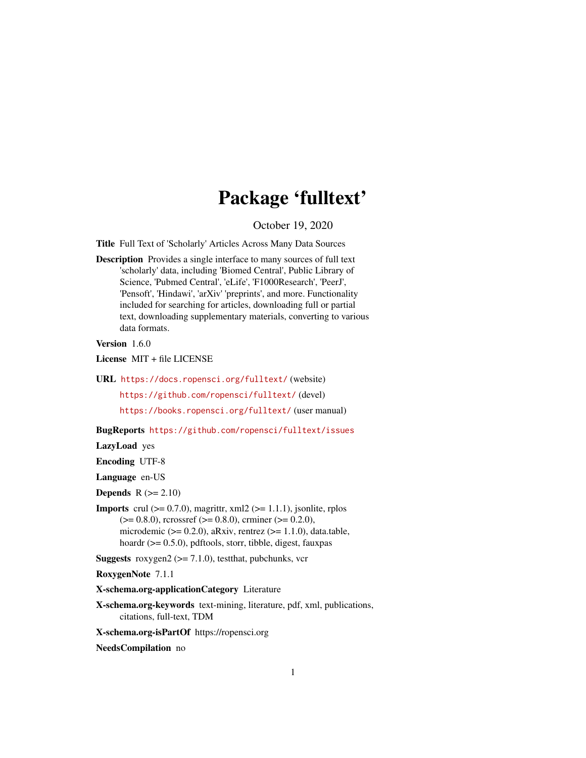# Package 'fulltext'

October 19, 2020

<span id="page-0-0"></span>Title Full Text of 'Scholarly' Articles Across Many Data Sources

Description Provides a single interface to many sources of full text 'scholarly' data, including 'Biomed Central', Public Library of Science, 'Pubmed Central', 'eLife', 'F1000Research', 'PeerJ', 'Pensoft', 'Hindawi', 'arXiv' 'preprints', and more. Functionality included for searching for articles, downloading full or partial text, downloading supplementary materials, converting to various data formats.

Version 1.6.0

License MIT + file LICENSE

URL <https://docs.ropensci.org/fulltext/> (website)

<https://github.com/ropensci/fulltext/> (devel)

<https://books.ropensci.org/fulltext/> (user manual)

BugReports <https://github.com/ropensci/fulltext/issues>

LazyLoad yes

Encoding UTF-8

Language en-US

**Depends**  $R$  ( $>= 2.10$ )

**Imports** crul  $(>= 0.7.0)$ , magrittr, xml2  $(>= 1.1.1)$ , jsonlite, rplos  $(>= 0.8.0)$ , rcrossref  $(>= 0.8.0)$ , crminer  $(>= 0.2.0)$ , microdemic ( $> = 0.2.0$ ), aRxiv, rentrez ( $> = 1.1.0$ ), data.table, hoardr (>= 0.5.0), pdftools, storr, tibble, digest, fauxpas

**Suggests** roxygen2 ( $>= 7.1.0$ ), testthat, pubchunks, vcr

RoxygenNote 7.1.1

X-schema.org-applicationCategory Literature

X-schema.org-keywords text-mining, literature, pdf, xml, publications, citations, full-text, TDM

X-schema.org-isPartOf https://ropensci.org

NeedsCompilation no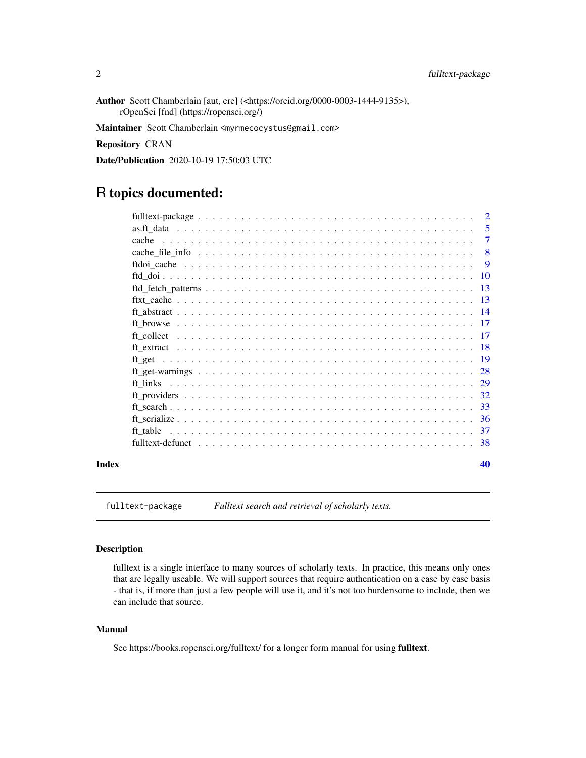<span id="page-1-0"></span>Author Scott Chamberlain [aut, cre] (<https://orcid.org/0000-0003-1444-9135>), rOpenSci [fnd] (https://ropensci.org/)

Maintainer Scott Chamberlain <myrmecocystus@gmail.com>

Repository CRAN

Date/Publication 2020-10-19 17:50:03 UTC

## R topics documented:

|       |       | 5             |
|-------|-------|---------------|
|       | cache | $\tau$        |
|       |       | -8            |
|       |       | 9             |
|       |       |               |
|       |       |               |
|       |       |               |
|       |       |               |
|       |       |               |
|       |       |               |
|       |       |               |
|       |       |               |
|       |       | 28            |
|       |       |               |
|       |       | 32            |
|       |       |               |
|       |       | <sup>36</sup> |
|       |       |               |
|       |       |               |
| Index |       | 40            |

<span id="page-1-1"></span>fulltext-package *Fulltext search and retrieval of scholarly texts.*

#### Description

fulltext is a single interface to many sources of scholarly texts. In practice, this means only ones that are legally useable. We will support sources that require authentication on a case by case basis - that is, if more than just a few people will use it, and it's not too burdensome to include, then we can include that source.

#### Manual

See https://books.ropensci.org/fulltext/ for a longer form manual for using fulltext.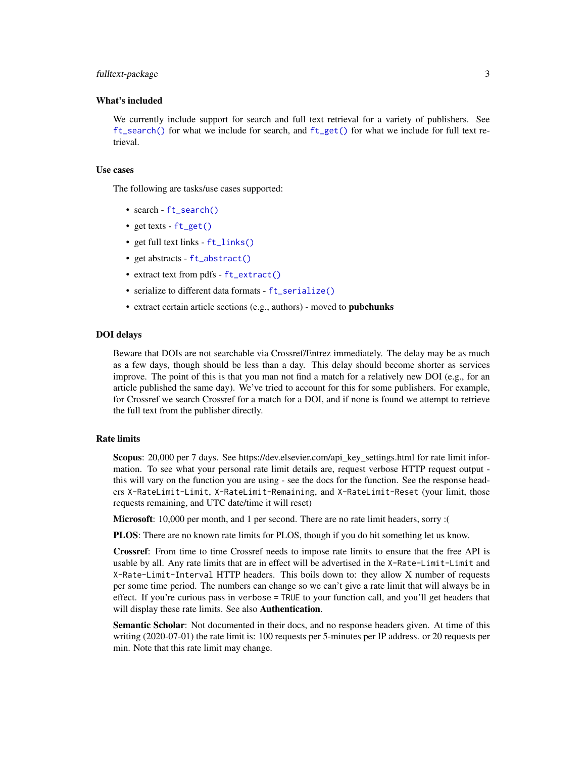#### <span id="page-2-0"></span>fulltext-package 3

#### What's included

We currently include support for search and full text retrieval for a variety of publishers. See [ft\\_search\(\)](#page-32-1) for what we include for search, and [ft\\_get\(\)](#page-18-1) for what we include for full text retrieval.

#### Use cases

The following are tasks/use cases supported:

- search [ft\\_search\(\)](#page-32-1)
- get texts [ft\\_get\(\)](#page-18-1)
- get full text links [ft\\_links\(\)](#page-28-1)
- get abstracts [ft\\_abstract\(\)](#page-13-1)
- extract text from pdfs [ft\\_extract\(\)](#page-17-1)
- serialize to different data formats [ft\\_serialize\(\)](#page-35-1)
- extract certain article sections (e.g., authors) moved to pubchunks

#### DOI delays

Beware that DOIs are not searchable via Crossref/Entrez immediately. The delay may be as much as a few days, though should be less than a day. This delay should become shorter as services improve. The point of this is that you man not find a match for a relatively new DOI (e.g., for an article published the same day). We've tried to account for this for some publishers. For example, for Crossref we search Crossref for a match for a DOI, and if none is found we attempt to retrieve the full text from the publisher directly.

#### Rate limits

Scopus: 20,000 per 7 days. See https://dev.elsevier.com/api\_key\_settings.html for rate limit information. To see what your personal rate limit details are, request verbose HTTP request output this will vary on the function you are using - see the docs for the function. See the response headers X-RateLimit-Limit, X-RateLimit-Remaining, and X-RateLimit-Reset (your limit, those requests remaining, and UTC date/time it will reset)

Microsoft: 10,000 per month, and 1 per second. There are no rate limit headers, sorry :(

PLOS: There are no known rate limits for PLOS, though if you do hit something let us know.

Crossref: From time to time Crossref needs to impose rate limits to ensure that the free API is usable by all. Any rate limits that are in effect will be advertised in the X-Rate-Limit-Limit and X-Rate-Limit-Interval HTTP headers. This boils down to: they allow X number of requests per some time period. The numbers can change so we can't give a rate limit that will always be in effect. If you're curious pass in verbose = TRUE to your function call, and you'll get headers that will display these rate limits. See also **Authentication**.

Semantic Scholar: Not documented in their docs, and no response headers given. At time of this writing (2020-07-01) the rate limit is: 100 requests per 5-minutes per IP address. or 20 requests per min. Note that this rate limit may change.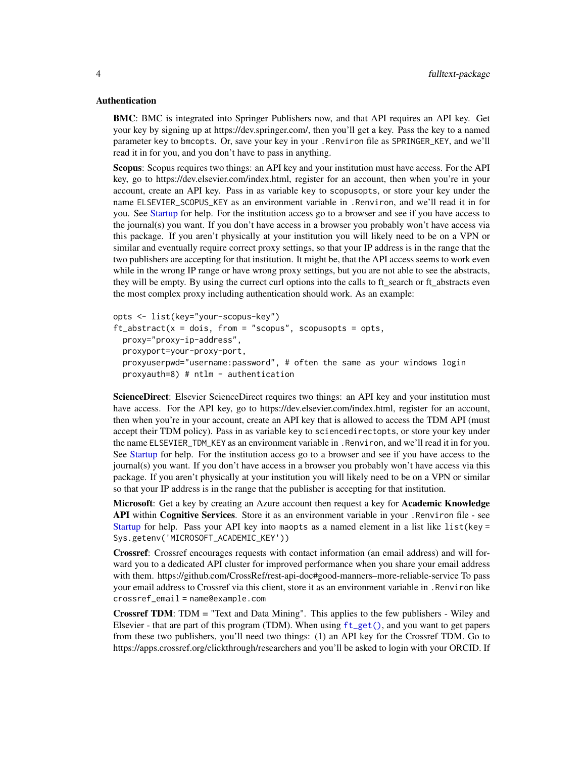#### <span id="page-3-0"></span>Authentication

BMC: BMC is integrated into Springer Publishers now, and that API requires an API key. Get your key by signing up at https://dev.springer.com/, then you'll get a key. Pass the key to a named parameter key to bmcopts. Or, save your key in your .Renviron file as SPRINGER\_KEY, and we'll read it in for you, and you don't have to pass in anything.

Scopus: Scopus requires two things: an API key and your institution must have access. For the API key, go to https://dev.elsevier.com/index.html, register for an account, then when you're in your account, create an API key. Pass in as variable key to scopusopts, or store your key under the name ELSEVIER\_SCOPUS\_KEY as an environment variable in .Renviron, and we'll read it in for you. See [Startup](#page-0-0) for help. For the institution access go to a browser and see if you have access to the journal(s) you want. If you don't have access in a browser you probably won't have access via this package. If you aren't physically at your institution you will likely need to be on a VPN or similar and eventually require correct proxy settings, so that your IP address is in the range that the two publishers are accepting for that institution. It might be, that the API access seems to work even while in the wrong IP range or have wrong proxy settings, but you are not able to see the abstracts, they will be empty. By using the currect curl options into the calls to ft\_search or ft\_abstracts even the most complex proxy including authentication should work. As an example:

```
opts <- list(key="your-scopus-key")
ft\_abstract(x = dois, from = "scopus", scopusopts = opts,proxy="proxy-ip-address",
 proxyport=your-proxy-port,
 proxyuserpwd="username:password", # often the same as your windows login
 proxyauth=8) # ntlm - authentication
```
ScienceDirect: Elsevier ScienceDirect requires two things: an API key and your institution must have access. For the API key, go to https://dev.elsevier.com/index.html, register for an account, then when you're in your account, create an API key that is allowed to access the TDM API (must accept their TDM policy). Pass in as variable key to sciencedirectopts, or store your key under the name ELSEVIER\_TDM\_KEY as an environment variable in .Renviron, and we'll read it in for you. See [Startup](#page-0-0) for help. For the institution access go to a browser and see if you have access to the journal(s) you want. If you don't have access in a browser you probably won't have access via this package. If you aren't physically at your institution you will likely need to be on a VPN or similar so that your IP address is in the range that the publisher is accepting for that institution.

Microsoft: Get a key by creating an Azure account then request a key for Academic Knowledge API within Cognitive Services. Store it as an environment variable in your .Renviron file - see [Startup](#page-0-0) for help. Pass your API key into maopts as a named element in a list like list(key = Sys.getenv('MICROSOFT\_ACADEMIC\_KEY'))

Crossref: Crossref encourages requests with contact information (an email address) and will forward you to a dedicated API cluster for improved performance when you share your email address with them. https://github.com/CrossRef/rest-api-doc#good-manners–more-reliable-service To pass your email address to Crossref via this client, store it as an environment variable in .Renviron like crossref\_email = name@example.com

Crossref TDM: TDM = "Text and Data Mining". This applies to the few publishers - Wiley and Elsevier - that are part of this program (TDM). When using [ft\\_get\(\)](#page-18-1), and you want to get papers from these two publishers, you'll need two things: (1) an API key for the Crossref TDM. Go to https://apps.crossref.org/clickthrough/researchers and you'll be asked to login with your ORCID. If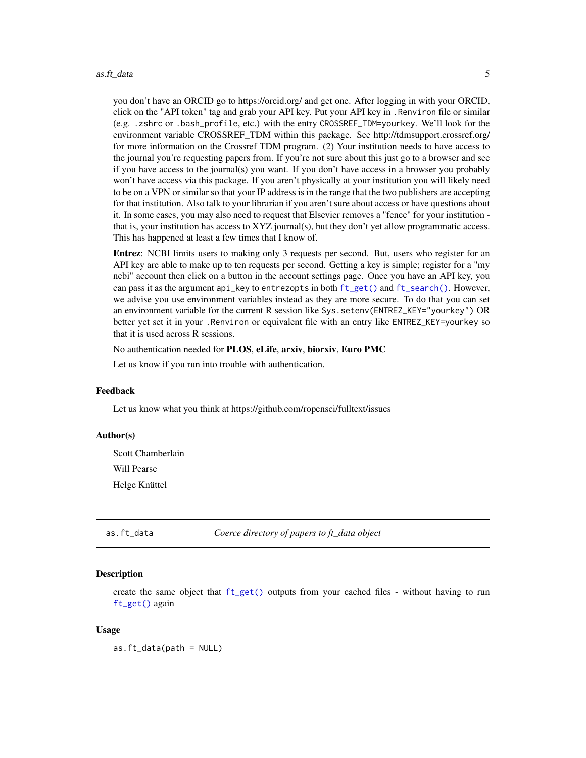<span id="page-4-0"></span>you don't have an ORCID go to https://orcid.org/ and get one. After logging in with your ORCID, click on the "API token" tag and grab your API key. Put your API key in .Renviron file or similar (e.g. .zshrc or .bash\_profile, etc.) with the entry CROSSREF\_TDM=yourkey. We'll look for the environment variable CROSSREF\_TDM within this package. See http://tdmsupport.crossref.org/ for more information on the Crossref TDM program. (2) Your institution needs to have access to the journal you're requesting papers from. If you're not sure about this just go to a browser and see if you have access to the journal(s) you want. If you don't have access in a browser you probably won't have access via this package. If you aren't physically at your institution you will likely need to be on a VPN or similar so that your IP address is in the range that the two publishers are accepting for that institution. Also talk to your librarian if you aren't sure about access or have questions about it. In some cases, you may also need to request that Elsevier removes a "fence" for your institution that is, your institution has access to XYZ journal(s), but they don't yet allow programmatic access. This has happened at least a few times that I know of.

Entrez: NCBI limits users to making only 3 requests per second. But, users who register for an API key are able to make up to ten requests per second. Getting a key is simple; register for a "my ncbi" account then click on a button in the account settings page. Once you have an API key, you can pass it as the argument api\_key to entrezopts in both [ft\\_get\(\)](#page-18-1) and [ft\\_search\(\)](#page-32-1). However, we advise you use environment variables instead as they are more secure. To do that you can set an environment variable for the current R session like Sys.setenv(ENTREZ\_KEY="yourkey") OR better yet set it in your .Renviron or equivalent file with an entry like ENTREZ\_KEY=yourkey so that it is used across R sessions.

No authentication needed for PLOS, eLife, arxiv, biorxiv, Euro PMC

Let us know if you run into trouble with authentication.

#### Feedback

Let us know what you think at https://github.com/ropensci/fulltext/issues

#### Author(s)

Scott Chamberlain Will Pearse Helge Knüttel

<span id="page-4-1"></span>as.ft\_data *Coerce directory of papers to ft\_data object*

#### Description

create the same object that [ft\\_get\(\)](#page-18-1) outputs from your cached files - without having to run [ft\\_get\(\)](#page-18-1) again

#### Usage

as.ft\_data(path = NULL)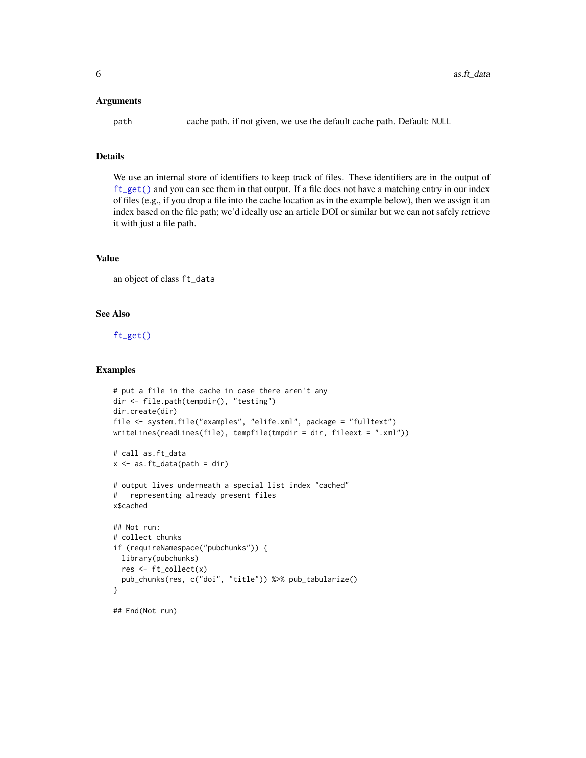#### <span id="page-5-0"></span>**Arguments**

path cache path. if not given, we use the default cache path. Default: NULL

#### Details

We use an internal store of identifiers to keep track of files. These identifiers are in the output of [ft\\_get\(\)](#page-18-1) and you can see them in that output. If a file does not have a matching entry in our index of files (e.g., if you drop a file into the cache location as in the example below), then we assign it an index based on the file path; we'd ideally use an article DOI or similar but we can not safely retrieve it with just a file path.

#### Value

an object of class ft\_data

#### See Also

[ft\\_get\(\)](#page-18-1)

#### Examples

```
# put a file in the cache in case there aren't any
dir <- file.path(tempdir(), "testing")
dir.create(dir)
file <- system.file("examples", "elife.xml", package = "fulltext")
writeLines(readLines(file), tempfile(tmpdir = dir, fileext = ".xml"))
# call as.ft_data
x \leftarrow as.fit_data(path = dir)# output lives underneath a special list index "cached"
# representing already present files
x$cached
## Not run:
# collect chunks
if (requireNamespace("pubchunks")) {
  library(pubchunks)
  res <- ft_collect(x)
  pub_chunks(res, c("doi", "title")) %>% pub_tabularize()
}
## End(Not run)
```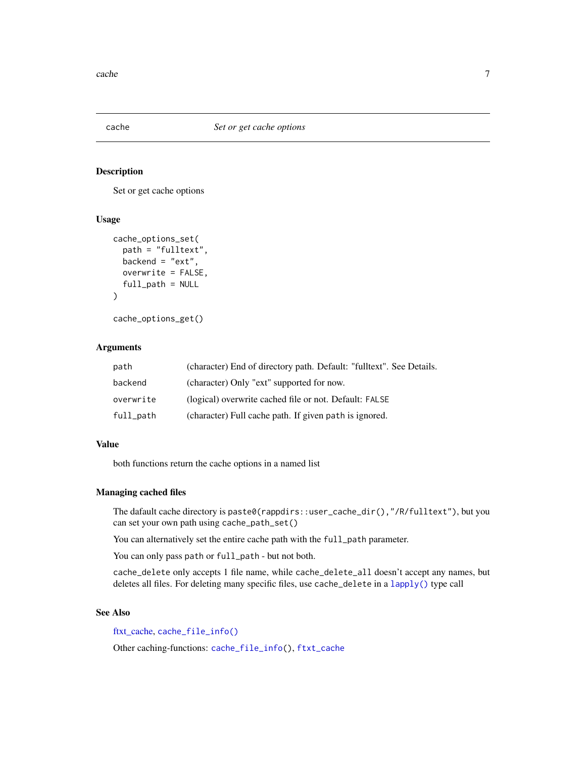<span id="page-6-1"></span><span id="page-6-0"></span>

#### <span id="page-6-2"></span>Description

Set or get cache options

#### Usage

```
cache_options_set(
  path = "fulltext",
 backend = "ext",
  overwrite = FALSE,
  full_path = NULL
)
```
cache\_options\_get()

## Arguments

| path      | (character) End of directory path. Default: "fulltext". See Details. |
|-----------|----------------------------------------------------------------------|
| backend   | (character) Only "ext" supported for now.                            |
| overwrite | (logical) overwrite cached file or not. Default: FALSE               |
| full_path | (character) Full cache path. If given path is ignored.               |

#### Value

both functions return the cache options in a named list

#### Managing cached files

The dafault cache directory is paste0(rappdirs::user\_cache\_dir(),"/R/fulltext"), but you can set your own path using cache\_path\_set()

You can alternatively set the entire cache path with the full\_path parameter.

You can only pass path or full\_path - but not both.

cache\_delete only accepts 1 file name, while cache\_delete\_all doesn't accept any names, but deletes all files. For deleting many specific files, use cache\_delete in a [lapply\(\)](#page-0-0) type call

#### See Also

[ftxt\\_cache,](#page-12-1) [cache\\_file\\_info\(\)](#page-7-1)

Other caching-functions: [cache\\_file\\_info\(](#page-7-1)), [ftxt\\_cache](#page-12-1)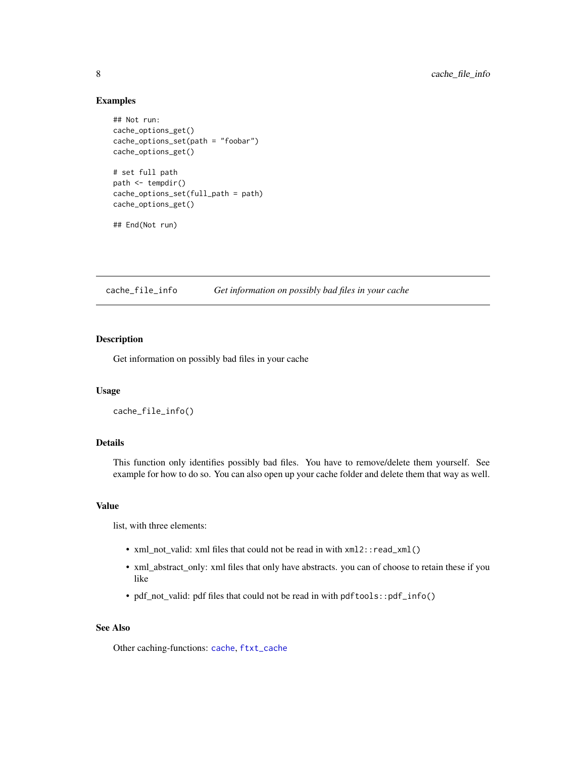#### <span id="page-7-0"></span>Examples

```
## Not run:
cache_options_get()
cache_options_set(path = "foobar")
cache_options_get()
# set full path
path <- tempdir()
cache_options_set(full_path = path)
cache_options_get()
## End(Not run)
```
<span id="page-7-1"></span>cache\_file\_info *Get information on possibly bad files in your cache*

#### Description

Get information on possibly bad files in your cache

#### Usage

cache\_file\_info()

#### Details

This function only identifies possibly bad files. You have to remove/delete them yourself. See example for how to do so. You can also open up your cache folder and delete them that way as well.

#### Value

list, with three elements:

- xml\_not\_valid: xml files that could not be read in with  $xml2$ : read\_xml()
- xml\_abstract\_only: xml files that only have abstracts. you can of choose to retain these if you like
- pdf\_not\_valid: pdf files that could not be read in with pdftools::pdf\_info()

#### See Also

Other caching-functions: [cache](#page-6-1), [ftxt\\_cache](#page-12-1)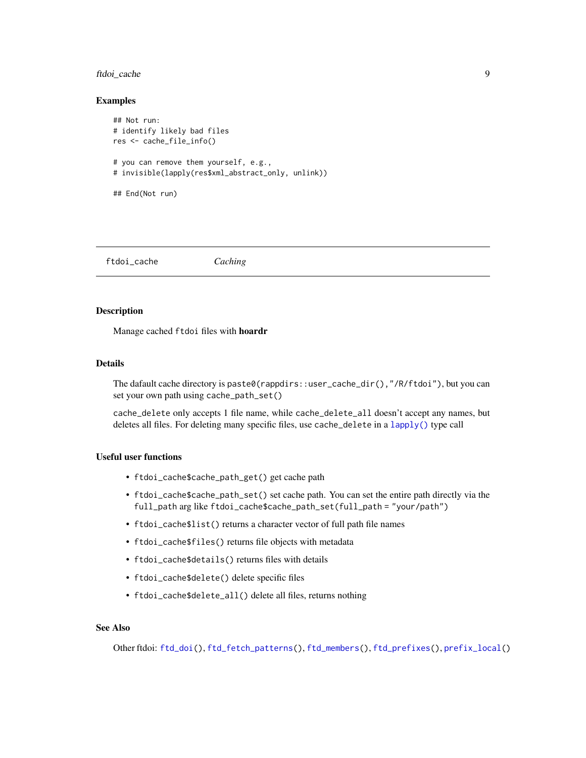#### <span id="page-8-0"></span>ftdoi\_cache 9

#### Examples

```
## Not run:
# identify likely bad files
res <- cache_file_info()
# you can remove them yourself, e.g.,
# invisible(lapply(res$xml_abstract_only, unlink))
## End(Not run)
```
<span id="page-8-1"></span>ftdoi\_cache *Caching*

#### Description

Manage cached ftdoi files with hoardr

#### Details

The dafault cache directory is paste0(rappdirs::user\_cache\_dir(),"/R/ftdoi"), but you can set your own path using cache\_path\_set()

cache\_delete only accepts 1 file name, while cache\_delete\_all doesn't accept any names, but deletes all files. For deleting many specific files, use cache\_delete in a [lapply\(\)](#page-0-0) type call

#### Useful user functions

- ftdoi\_cache\$cache\_path\_get() get cache path
- ftdoi\_cache\$cache\_path\_set() set cache path. You can set the entire path directly via the full\_path arg like ftdoi\_cache\$cache\_path\_set(full\_path = "your/path")
- ftdoi\_cache\$list() returns a character vector of full path file names
- ftdoi\_cache\$files() returns file objects with metadata
- ftdoi\_cache\$details() returns files with details
- ftdoi\_cache\$delete() delete specific files
- ftdoi\_cache\$delete\_all() delete all files, returns nothing

#### See Also

Other ftdoi: [ftd\\_doi\(](#page-9-1)), [ftd\\_fetch\\_patterns\(](#page-12-2)), [ftd\\_members\(](#page-0-0)), [ftd\\_prefixes\(](#page-0-0)), [prefix\\_local\(](#page-0-0))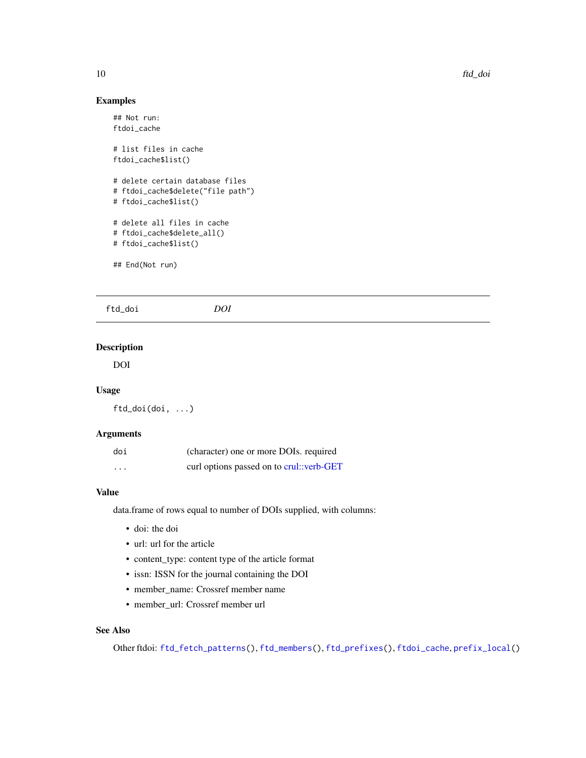#### Examples

```
## Not run:
ftdoi_cache
# list files in cache
ftdoi_cache$list()
# delete certain database files
# ftdoi_cache$delete("file path")
# ftdoi_cache$list()
# delete all files in cache
# ftdoi_cache$delete_all()
# ftdoi_cache$list()
## End(Not run)
```
<span id="page-9-1"></span>

| ftd_doi | ומר |  |  |
|---------|-----|--|--|
|         |     |  |  |

#### Description

DOI

#### Usage

ftd\_doi(doi, ...)

#### Arguments

| doi      | (character) one or more DOIs. required   |
|----------|------------------------------------------|
| $\cdots$ | curl options passed on to crul::verb-GET |

#### Value

data.frame of rows equal to number of DOIs supplied, with columns:

- doi: the doi
- url: url for the article
- content\_type: content type of the article format
- issn: ISSN for the journal containing the DOI
- member\_name: Crossref member name
- member\_url: Crossref member url

#### See Also

Other ftdoi: [ftd\\_fetch\\_patterns\(](#page-12-2)), [ftd\\_members\(](#page-0-0)), [ftd\\_prefixes\(](#page-0-0)), [ftdoi\\_cache](#page-8-1), [prefix\\_local\(](#page-0-0))

<span id="page-9-0"></span>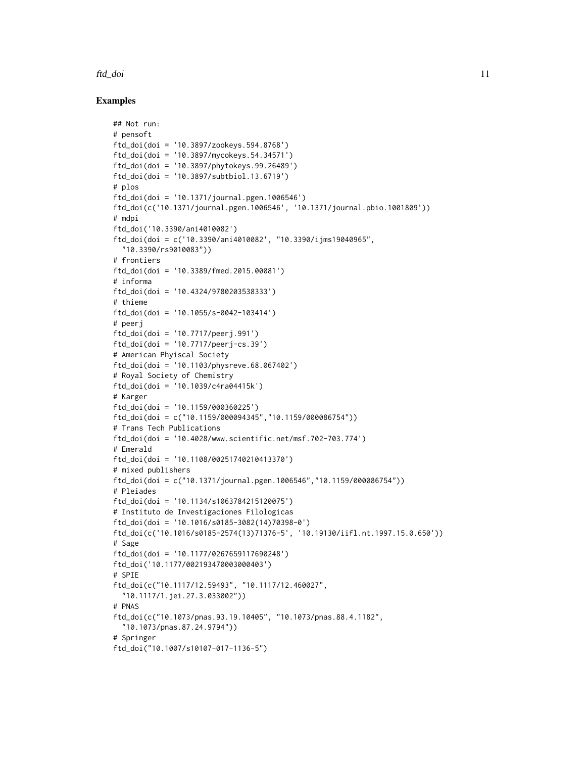#### ftd\_doi and 11

#### Examples

```
## Not run:
# pensoft
ftd_doi(doi = '10.3897/zookeys.594.8768')
ftd_doi(doi = '10.3897/mycokeys.54.34571')
ftd_doi(doi = '10.3897/phytokeys.99.26489')
ftd_doi(doi = '10.3897/subtbiol.13.6719')
# plos
ftd_doi(doi = '10.1371/journal.pgen.1006546')
ftd_doi(c('10.1371/journal.pgen.1006546', '10.1371/journal.pbio.1001809'))
# mdpi
ftd_doi('10.3390/ani4010082')
ftd_doi(doi = c('10.3390/ani4010082', "10.3390/ijms19040965",
  "10.3390/rs9010083"))
# frontiers
ftd_doi(doi = '10.3389/fmed.2015.00081')
# informa
ftd_doi(doi = '10.4324/9780203538333')
# thieme
ftd_doi(doi = '10.1055/s-0042-103414')
# peerj
ftd_doi(doi = '10.7717/peerj.991')
ftd_doi(doi = '10.7717/peerj-cs.39')
# American Phyiscal Society
ftd_doi(doi = '10.1103/physreve.68.067402')
# Royal Society of Chemistry
ftd_doi(doi = '10.1039/c4ra04415k')
# Karger
ftd_doi(doi = '10.1159/000360225')
ftd_doi(doi = c("10.1159/000094345","10.1159/000086754"))
# Trans Tech Publications
ftd_doi(doi = '10.4028/www.scientific.net/msf.702-703.774')
# Emerald
ftd_doi(doi = '10.1108/00251740210413370')
# mixed publishers
ftd_doi(doi = c("10.1371/journal.pgen.1006546","10.1159/000086754"))
# Pleiades
ftd_doi(doi = '10.1134/s1063784215120075')
# Instituto de Investigaciones Filologicas
ftd_doi(doi = '10.1016/s0185-3082(14)70398-0')
ftd_doi(c('10.1016/s0185-2574(13)71376-5', '10.19130/iifl.nt.1997.15.0.650'))
# Sage
ftd_doi(doi = '10.1177/0267659117690248')
ftd_doi('10.1177/002193470003000403')
# SPIE
ftd_doi(c("10.1117/12.59493", "10.1117/12.460027",
  "10.1117/1.jei.27.3.033002"))
# PNAS
ftd_doi(c("10.1073/pnas.93.19.10405", "10.1073/pnas.88.4.1182",
  "10.1073/pnas.87.24.9794"))
# Springer
ftd_doi("10.1007/s10107-017-1136-5")
```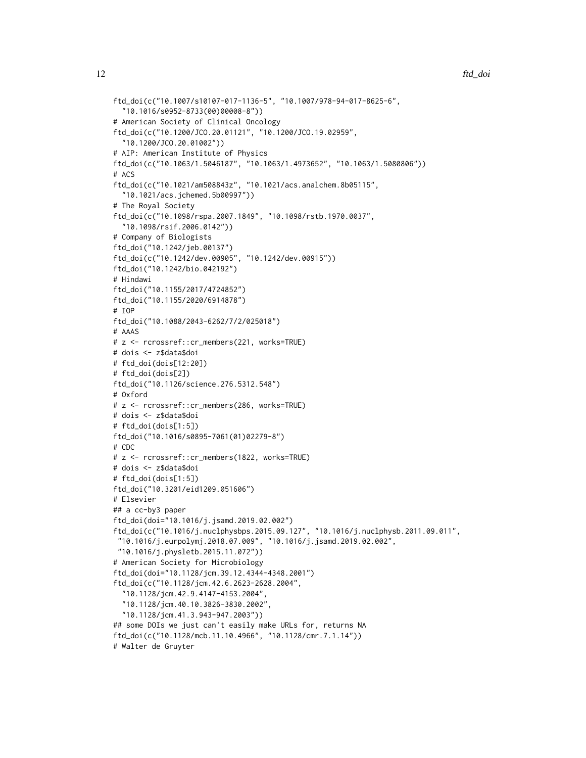```
ftd_doi(c("10.1007/s10107-017-1136-5", "10.1007/978-94-017-8625-6",
  "10.1016/s0952-8733(00)00008-8"))
# American Society of Clinical Oncology
ftd_doi(c("10.1200/JCO.20.01121", "10.1200/JCO.19.02959",
  "10.1200/JCO.20.01002"))
# AIP: American Institute of Physics
ftd_doi(c("10.1063/1.5046187", "10.1063/1.4973652", "10.1063/1.5080806"))
# ACS
ftd_doi(c("10.1021/am508843z", "10.1021/acs.analchem.8b05115",
  "10.1021/acs.jchemed.5b00997"))
# The Royal Society
ftd_doi(c("10.1098/rspa.2007.1849", "10.1098/rstb.1970.0037",
  "10.1098/rsif.2006.0142"))
# Company of Biologists
ftd_doi("10.1242/jeb.00137")
ftd_doi(c("10.1242/dev.00905", "10.1242/dev.00915"))
ftd_doi("10.1242/bio.042192")
# Hindawi
ftd_doi("10.1155/2017/4724852")
ftd_doi("10.1155/2020/6914878")
# IOP
ftd_doi("10.1088/2043-6262/7/2/025018")
# AAAS
# z <- rcrossref::cr_members(221, works=TRUE)
# dois <- z$data$doi
# ftd_doi(dois[12:20])
# ftd_doi(dois[2])
ftd_doi("10.1126/science.276.5312.548")
# Oxford
# z <- rcrossref::cr_members(286, works=TRUE)
# dois <- z$data$doi
# ftd_doi(dois[1:5])
ftd_doi("10.1016/s0895-7061(01)02279-8")
# CDC
# z <- rcrossref::cr_members(1822, works=TRUE)
# dois <- z$data$doi
# ftd_doi(dois[1:5])
ftd_doi("10.3201/eid1209.051606")
# Elsevier
## a cc-by3 paper
ftd_doi(doi="10.1016/j.jsamd.2019.02.002")
ftd_doi(c("10.1016/j.nuclphysbps.2015.09.127", "10.1016/j.nuclphysb.2011.09.011",
 "10.1016/j.eurpolymj.2018.07.009", "10.1016/j.jsamd.2019.02.002",
 "10.1016/j.physletb.2015.11.072"))
# American Society for Microbiology
ftd_doi(doi="10.1128/jcm.39.12.4344-4348.2001")
ftd_doi(c("10.1128/jcm.42.6.2623-2628.2004",
  "10.1128/jcm.42.9.4147-4153.2004",
  "10.1128/jcm.40.10.3826-3830.2002",
  "10.1128/jcm.41.3.943-947.2003"))
## some DOIs we just can't easily make URLs for, returns NA
ftd_doi(c("10.1128/mcb.11.10.4966", "10.1128/cmr.7.1.14"))
# Walter de Gruyter
```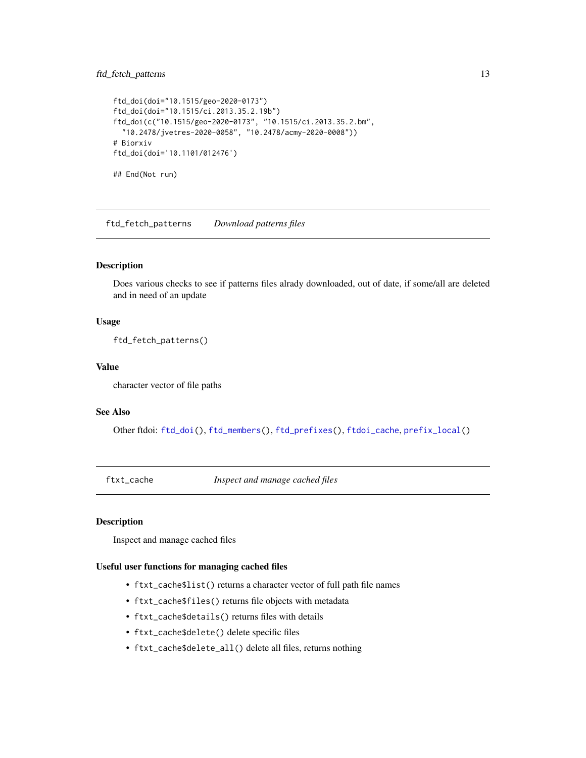#### <span id="page-12-0"></span>ftd\_fetch\_patterns 13

```
ftd_doi(doi="10.1515/geo-2020-0173")
ftd_doi(doi="10.1515/ci.2013.35.2.19b")
ftd_doi(c("10.1515/geo-2020-0173", "10.1515/ci.2013.35.2.bm",
  "10.2478/jvetres-2020-0058", "10.2478/acmy-2020-0008"))
# Biorxiv
ftd_doi(doi='10.1101/012476')
## End(Not run)
```
<span id="page-12-2"></span>ftd\_fetch\_patterns *Download patterns files*

#### Description

Does various checks to see if patterns files alrady downloaded, out of date, if some/all are deleted and in need of an update

#### Usage

ftd\_fetch\_patterns()

#### Value

character vector of file paths

#### See Also

Other ftdoi: [ftd\\_doi\(](#page-9-1)), [ftd\\_members\(](#page-0-0)), [ftd\\_prefixes\(](#page-0-0)), [ftdoi\\_cache](#page-8-1), [prefix\\_local\(](#page-0-0))

<span id="page-12-1"></span>ftxt\_cache *Inspect and manage cached files*

#### Description

Inspect and manage cached files

#### Useful user functions for managing cached files

- ftxt\_cache\$list() returns a character vector of full path file names
- ftxt\_cache\$files() returns file objects with metadata
- ftxt\_cache\$details() returns files with details
- ftxt\_cache\$delete() delete specific files
- ftxt\_cache\$delete\_all() delete all files, returns nothing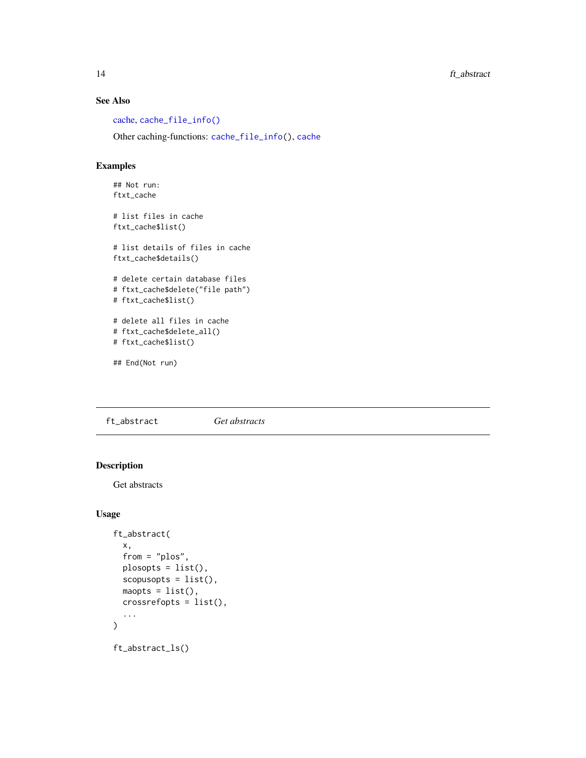<span id="page-13-0"></span>14 ft\_abstract

#### See Also

[cache,](#page-6-1) [cache\\_file\\_info\(\)](#page-7-1)

Other caching-functions: [cache\\_file\\_info\(](#page-7-1)), [cache](#page-6-1)

#### Examples

## Not run: ftxt\_cache

# list files in cache ftxt\_cache\$list()

# list details of files in cache ftxt\_cache\$details()

# delete certain database files # ftxt\_cache\$delete("file path") # ftxt\_cache\$list()

```
# delete all files in cache
# ftxt_cache$delete_all()
# ftxt_cache$list()
```
## End(Not run)

<span id="page-13-1"></span>ft\_abstract *Get abstracts*

#### Description

Get abstracts

#### Usage

```
ft_abstract(
  x,
  from = "plos",
 plosopts = list(),
  scopusopts = list(),
 mapts = list(),crossrefopts = list(),
  ...
\mathcal{L}ft_abstract_ls()
```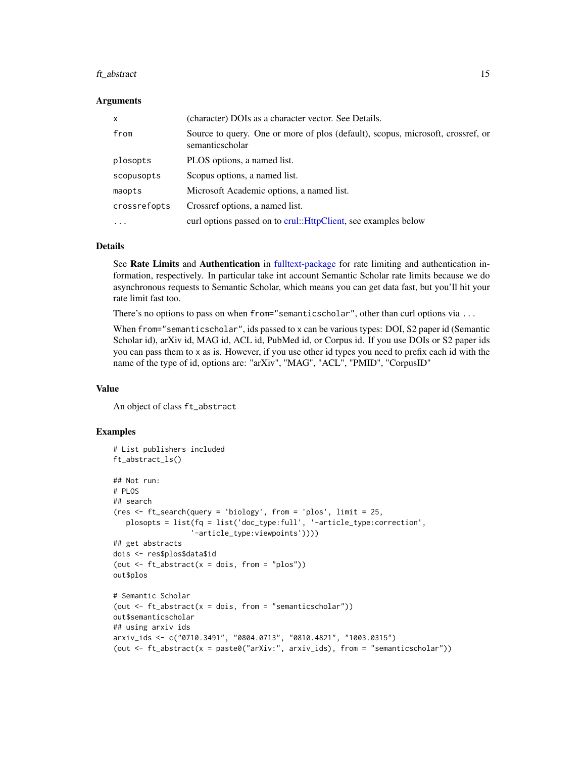#### <span id="page-14-0"></span>ft\_abstract 15

#### Arguments

| $\mathsf{x}$ | (character) DOIs as a character vector. See Details.                                               |
|--------------|----------------------------------------------------------------------------------------------------|
| from         | Source to query. One or more of plos (default), scopus, microsoft, crossref, or<br>semanticscholar |
| plosopts     | PLOS options, a named list.                                                                        |
| scopusopts   | Scopus options, a named list.                                                                      |
| maopts       | Microsoft Academic options, a named list.                                                          |
| crossrefopts | Crossref options, a named list.                                                                    |
| $\cdots$     | curl options passed on to crul:: HttpClient, see examples below                                    |

#### Details

See Rate Limits and Authentication in [fulltext-package](#page-1-1) for rate limiting and authentication information, respectively. In particular take int account Semantic Scholar rate limits because we do asynchronous requests to Semantic Scholar, which means you can get data fast, but you'll hit your rate limit fast too.

There's no options to pass on when from="semanticscholar", other than curl options via ...

When from="semanticscholar", ids passed to x can be various types: DOI, S2 paper id (Semantic Scholar id), arXiv id, MAG id, ACL id, PubMed id, or Corpus id. If you use DOIs or S2 paper ids you can pass them to x as is. However, if you use other id types you need to prefix each id with the name of the type of id, options are: "arXiv", "MAG", "ACL", "PMID", "CorpusID"

#### Value

An object of class ft\_abstract

#### Examples

```
# List publishers included
ft_abstract_ls()
## Not run:
# PLOS
## search
(res <- ft_search(query = 'biology', from = 'plos', limit = 25,
  plosopts = list(fq = list('doc_type:full', '-article_type:correction',
                  '-article_type:viewpoints'))))
## get abstracts
dois <- res$plos$data$id
(out \leq ft_abstract(x = dois, from = "plos"))
out$plos
# Semantic Scholar
(out \leq ft_abstract(x = dois, from = "semanticscholar"))
out$semanticscholar
## using arxiv ids
arxiv_ids <- c("0710.3491", "0804.0713", "0810.4821", "1003.0315")
(out <- ft_abstract(x = paste0("arXiv:", arxiv_ids), from = "semanticscholar"))
```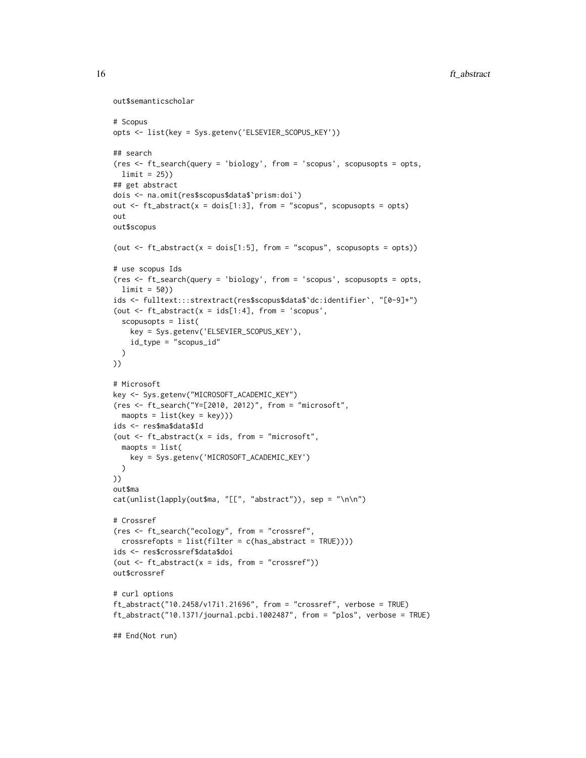```
out$semanticscholar
```

```
# Scopus
opts <- list(key = Sys.getenv('ELSEVIER_SCOPUS_KEY'))
## search
(res <- ft_search(query = 'biology', from = 'scopus', scopusopts = opts,
 limit = 25))
## get abstract
dois <- na.omit(res$scopus$data$`prism:doi`)
out \leq ft_abstract(x = dois[1:3], from = "scopus", scopusopts = opts)
out
out$scopus
(out \leq ft_abstract(x = dois[1:5], from = "scopus", scopusopts = opts))
# use scopus Ids
(res <- ft_search(query = 'biology', from = 'scopus', scopusopts = opts,
  limit = 50))
ids <- fulltext:::strextract(res$scopus$data$`dc:identifier`, "[0-9]+")
(out \leq ft_abstract(x = ids[1:4], from = 'scopus',
  scopusopts = list(
   key = Sys.getenv('ELSEVIER_SCOPUS_KEY'),
    id_type = "scopus_id"
 \lambda))
# Microsoft
key <- Sys.getenv("MICROSOFT_ACADEMIC_KEY")
(res <- ft_search("Y=[2010, 2012)", from = "microsoft",
 mapts = list(key = key)))ids <- res$ma$data$Id
(out \leq ft_abstract(x = ids, from = "microsoft",
 maopts = list(
   key = Sys.getenv('MICROSOFT_ACADEMIC_KEY')
  \lambda))
out$ma
cat(unlist(lapply(out$ma, "[[", "abstract")), sep = "\n\n")
# Crossref
(res <- ft_search("ecology", from = "crossref",
  crossrefopts = list(filter = c(has_abstract = TRUE))))
ids <- res$crossref$data$doi
(out \leq ft_abstract(x = ids, from = "crossref"))
out$crossref
# curl options
ft_abstract("10.2458/v17i1.21696", from = "crossref", verbose = TRUE)
ft_abstract("10.1371/journal.pcbi.1002487", from = "plos", verbose = TRUE)
## End(Not run)
```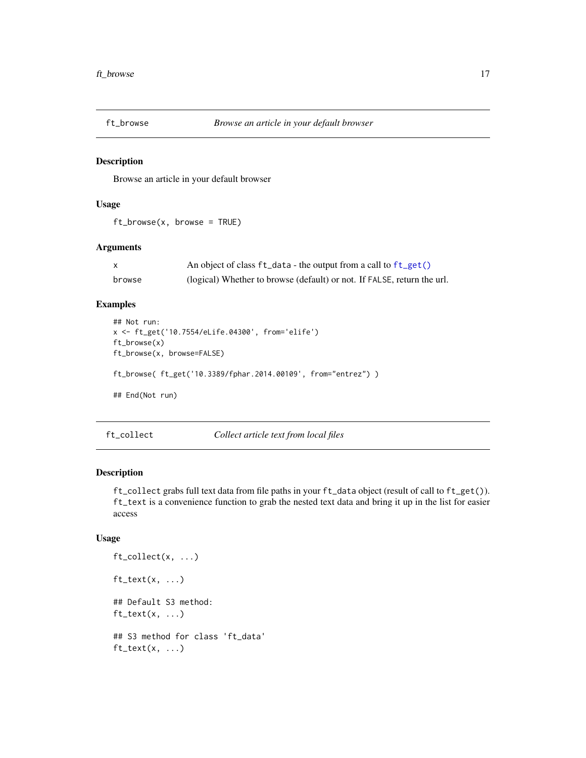<span id="page-16-0"></span>

#### Description

Browse an article in your default browser

#### Usage

ft\_browse(x, browse = TRUE)

#### Arguments

|        | An object of class $ft\_data$ - the output from a call to $ft\_get()$   |
|--------|-------------------------------------------------------------------------|
| browse | (logical) Whether to browse (default) or not. If FALSE, return the url. |

#### Examples

```
## Not run:
x <- ft_get('10.7554/eLife.04300', from='elife')
ft_browse(x)
ft_browse(x, browse=FALSE)
ft_browse( ft_get('10.3389/fphar.2014.00109', from="entrez") )
## End(Not run)
```
<span id="page-16-1"></span>ft\_collect *Collect article text from local files*

#### <span id="page-16-2"></span>Description

ft\_collect grabs full text data from file paths in your ft\_data object (result of call to ft\_get()). ft\_text is a convenience function to grab the nested text data and bring it up in the list for easier access

#### Usage

```
ft_collect(x, ...)
ft\_text(x, ...)## Default S3 method:
ft\_text(x, ...)## S3 method for class 'ft_data'
ft\_text(x, ...)
```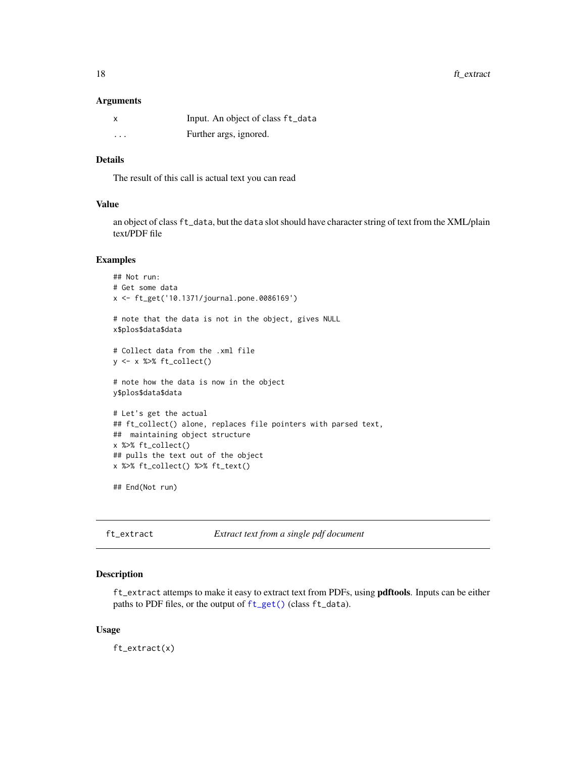#### <span id="page-17-0"></span>18 ft\_extract

#### **Arguments**

|          | Input. An object of class ft_data |
|----------|-----------------------------------|
| $\cdots$ | Further args, ignored.            |

#### Details

The result of this call is actual text you can read

#### Value

an object of class ft\_data, but the data slot should have character string of text from the XML/plain text/PDF file

#### Examples

```
## Not run:
# Get some data
x <- ft_get('10.1371/journal.pone.0086169')
# note that the data is not in the object, gives NULL
x$plos$data$data
# Collect data from the .xml file
y \leftarrow x %>% ft_collect()
# note how the data is now in the object
y$plos$data$data
# Let's get the actual
## ft_collect() alone, replaces file pointers with parsed text,
## maintaining object structure
x %>% ft_collect()
## pulls the text out of the object
x %>% ft_collect() %>% ft_text()
```

```
## End(Not run)
```
<span id="page-17-1"></span>ft\_extract *Extract text from a single pdf document*

#### Description

ft\_extract attemps to make it easy to extract text from PDFs, using pdftools. Inputs can be either paths to PDF files, or the output of [ft\\_get\(\)](#page-18-1) (class ft\_data).

#### Usage

ft\_extract(x)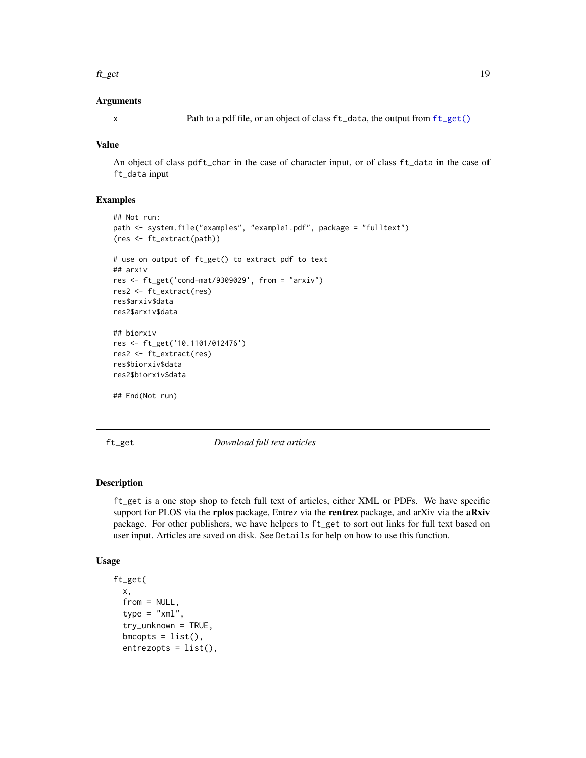#### <span id="page-18-0"></span>Arguments

#### Value

An object of class pdft\_char in the case of character input, or of class ft\_data in the case of ft\_data input

#### Examples

```
## Not run:
path <- system.file("examples", "example1.pdf", package = "fulltext")
(res <- ft_extract(path))
# use on output of ft_get() to extract pdf to text
## arxiv
res <- ft_get('cond-mat/9309029', from = "arxiv")
res2 <- ft_extract(res)
res$arxiv$data
res2$arxiv$data
## biorxiv
res <- ft_get('10.1101/012476')
res2 <- ft_extract(res)
res$biorxiv$data
res2$biorxiv$data
## End(Not run)
```
<span id="page-18-1"></span>

ft\_get *Download full text articles*

#### Description

ft\_get is a one stop shop to fetch full text of articles, either XML or PDFs. We have specific support for PLOS via the rplos package, Entrez via the rentrez package, and arXiv via the aRxiv package. For other publishers, we have helpers to ft\_get to sort out links for full text based on user input. Articles are saved on disk. See Details for help on how to use this function.

#### Usage

```
ft_get(
  x,
  from = NULL,
  type = "xml".
  try_unknown = TRUE,
  bmcopts = list(),
  entrezopts = list(),
```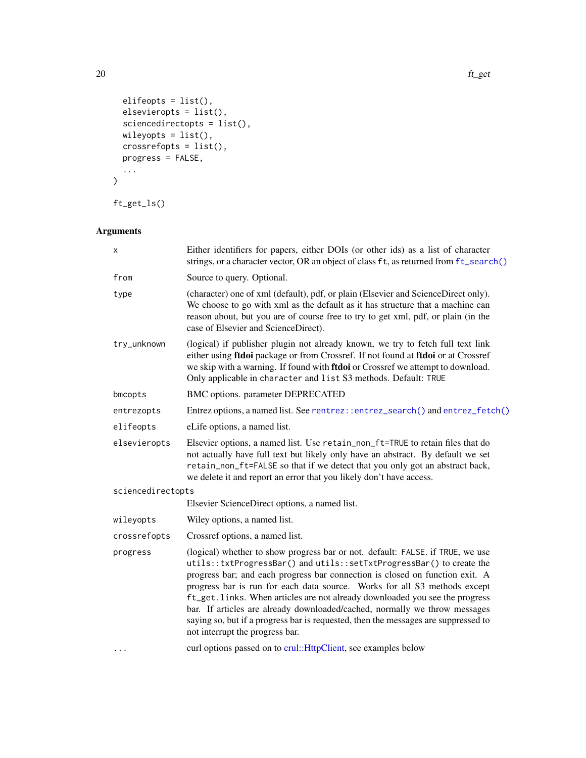```
elifeopts = list(),
  elsevieropts = list(),
 sciencedirectopts = list(),
  wileyopts = list(),
  crossrefopts = list(),
  progress = FALSE,
  ...
)
```
ft\_get\_ls()

## Arguments

| x                 | Either identifiers for papers, either DOIs (or other ids) as a list of character<br>strings, or a character vector, OR an object of class ft, as returned from ft_search()                                                                                                                                                                                                                                                                                                                                                                                                                                |  |  |
|-------------------|-----------------------------------------------------------------------------------------------------------------------------------------------------------------------------------------------------------------------------------------------------------------------------------------------------------------------------------------------------------------------------------------------------------------------------------------------------------------------------------------------------------------------------------------------------------------------------------------------------------|--|--|
| from              | Source to query. Optional.                                                                                                                                                                                                                                                                                                                                                                                                                                                                                                                                                                                |  |  |
| type              | (character) one of xml (default), pdf, or plain (Elsevier and ScienceDirect only).<br>We choose to go with xml as the default as it has structure that a machine can<br>reason about, but you are of course free to try to get xml, pdf, or plain (in the<br>case of Elsevier and ScienceDirect).                                                                                                                                                                                                                                                                                                         |  |  |
| try_unknown       | (logical) if publisher plugin not already known, we try to fetch full text link<br>either using ftdoi package or from Crossref. If not found at ftdoi or at Crossref<br>we skip with a warning. If found with ftdoi or Crossref we attempt to download.<br>Only applicable in character and list S3 methods. Default: TRUE                                                                                                                                                                                                                                                                                |  |  |
| bmcopts           | BMC options. parameter DEPRECATED                                                                                                                                                                                                                                                                                                                                                                                                                                                                                                                                                                         |  |  |
| entrezopts        | Entrez options, a named list. See rentrez::entrez_search() and entrez_fetch()                                                                                                                                                                                                                                                                                                                                                                                                                                                                                                                             |  |  |
| elifeopts         | eLife options, a named list.                                                                                                                                                                                                                                                                                                                                                                                                                                                                                                                                                                              |  |  |
| elsevieropts      | Elsevier options, a named list. Use retain_non_ft=TRUE to retain files that do<br>not actually have full text but likely only have an abstract. By default we set<br>retain_non_ft=FALSE so that if we detect that you only got an abstract back,<br>we delete it and report an error that you likely don't have access.                                                                                                                                                                                                                                                                                  |  |  |
| sciencedirectopts |                                                                                                                                                                                                                                                                                                                                                                                                                                                                                                                                                                                                           |  |  |
|                   | Elsevier ScienceDirect options, a named list.                                                                                                                                                                                                                                                                                                                                                                                                                                                                                                                                                             |  |  |
| wileyopts         | Wiley options, a named list.                                                                                                                                                                                                                                                                                                                                                                                                                                                                                                                                                                              |  |  |
| crossrefopts      | Crossref options, a named list.                                                                                                                                                                                                                                                                                                                                                                                                                                                                                                                                                                           |  |  |
| progress          | (logical) whether to show progress bar or not. default: FALSE. if TRUE, we use<br>utils::txtProgressBar() and utils::setTxtProgressBar() to create the<br>progress bar; and each progress bar connection is closed on function exit. A<br>progress bar is run for each data source. Works for all S3 methods except<br>ft_get.links. When articles are not already downloaded you see the progress<br>bar. If articles are already downloaded/cached, normally we throw messages<br>saying so, but if a progress bar is requested, then the messages are suppressed to<br>not interrupt the progress bar. |  |  |
|                   | curl options passed on to crul:: HttpClient, see examples below                                                                                                                                                                                                                                                                                                                                                                                                                                                                                                                                           |  |  |

<span id="page-19-0"></span>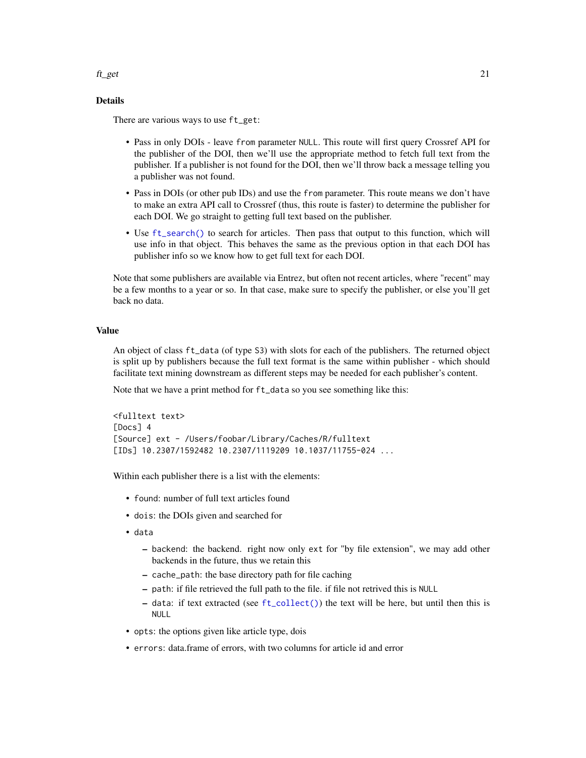#### <span id="page-20-0"></span> $f_{\text{L}}$ get 21

#### Details

There are various ways to use ft\_get:

- Pass in only DOIs leave from parameter NULL. This route will first query Crossref API for the publisher of the DOI, then we'll use the appropriate method to fetch full text from the publisher. If a publisher is not found for the DOI, then we'll throw back a message telling you a publisher was not found.
- Pass in DOIs (or other pub IDs) and use the from parameter. This route means we don't have to make an extra API call to Crossref (thus, this route is faster) to determine the publisher for each DOI. We go straight to getting full text based on the publisher.
- Use [ft\\_search\(\)](#page-32-1) to search for articles. Then pass that output to this function, which will use info in that object. This behaves the same as the previous option in that each DOI has publisher info so we know how to get full text for each DOI.

Note that some publishers are available via Entrez, but often not recent articles, where "recent" may be a few months to a year or so. In that case, make sure to specify the publisher, or else you'll get back no data.

#### Value

An object of class ft\_data (of type S3) with slots for each of the publishers. The returned object is split up by publishers because the full text format is the same within publisher - which should facilitate text mining downstream as different steps may be needed for each publisher's content.

Note that we have a print method for ft\_data so you see something like this:

```
<fulltext text>
[Docs] 4
[Source] ext - /Users/foobar/Library/Caches/R/fulltext
[IDs] 10.2307/1592482 10.2307/1119209 10.1037/11755-024 ...
```
Within each publisher there is a list with the elements:

- found: number of full text articles found
- dois: the DOIs given and searched for
- data
	- backend: the backend. right now only ext for "by file extension", we may add other backends in the future, thus we retain this
	- cache\_path: the base directory path for file caching
	- path: if file retrieved the full path to the file. if file not retrived this is NULL
	- data: if text extracted (see [ft\\_collect\(\)](#page-16-1)) the text will be here, but until then this is NULL
- opts: the options given like article type, dois
- errors: data.frame of errors, with two columns for article id and error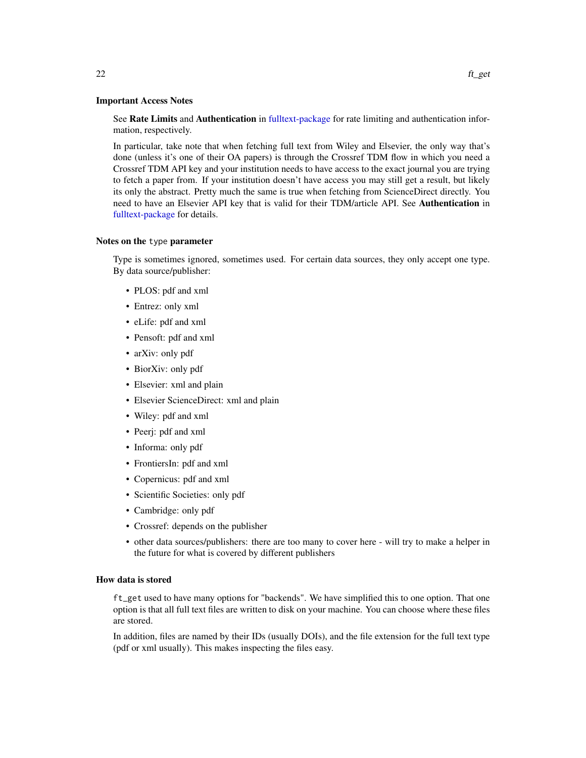<span id="page-21-0"></span>See Rate Limits and Authentication in [fulltext-package](#page-1-1) for rate limiting and authentication information, respectively.

In particular, take note that when fetching full text from Wiley and Elsevier, the only way that's done (unless it's one of their OA papers) is through the Crossref TDM flow in which you need a Crossref TDM API key and your institution needs to have access to the exact journal you are trying to fetch a paper from. If your institution doesn't have access you may still get a result, but likely its only the abstract. Pretty much the same is true when fetching from ScienceDirect directly. You need to have an Elsevier API key that is valid for their TDM/article API. See Authentication in [fulltext-package](#page-1-1) for details.

#### Notes on the type parameter

Type is sometimes ignored, sometimes used. For certain data sources, they only accept one type. By data source/publisher:

- PLOS: pdf and xml
- Entrez: only xml
- eLife: pdf and xml
- Pensoft: pdf and xml
- arXiv: only pdf
- BiorXiv: only pdf
- Elsevier: xml and plain
- Elsevier ScienceDirect: xml and plain
- Wiley: pdf and xml
- Peerj: pdf and xml
- Informa: only pdf
- FrontiersIn: pdf and xml
- Copernicus: pdf and xml
- Scientific Societies: only pdf
- Cambridge: only pdf
- Crossref: depends on the publisher
- other data sources/publishers: there are too many to cover here will try to make a helper in the future for what is covered by different publishers

#### How data is stored

ft\_get used to have many options for "backends". We have simplified this to one option. That one option is that all full text files are written to disk on your machine. You can choose where these files are stored.

In addition, files are named by their IDs (usually DOIs), and the file extension for the full text type (pdf or xml usually). This makes inspecting the files easy.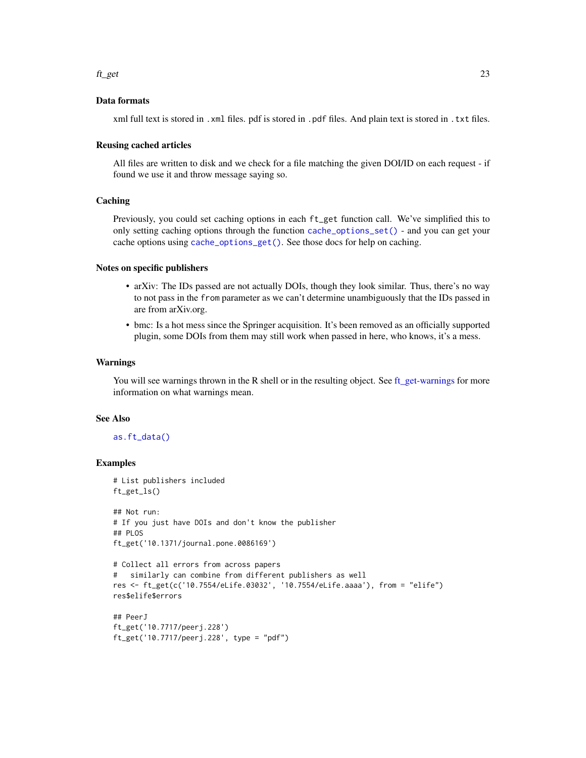#### <span id="page-22-0"></span>Data formats

xml full text is stored in . xml files. pdf is stored in . pdf files. And plain text is stored in . txt files.

#### Reusing cached articles

All files are written to disk and we check for a file matching the given DOI/ID on each request - if found we use it and throw message saying so.

#### Caching

Previously, you could set caching options in each ft\_get function call. We've simplified this to only setting caching options through the function [cache\\_options\\_set\(\)](#page-6-2) - and you can get your cache options using [cache\\_options\\_get\(\)](#page-6-2). See those docs for help on caching.

#### Notes on specific publishers

- arXiv: The IDs passed are not actually DOIs, though they look similar. Thus, there's no way to not pass in the from parameter as we can't determine unambiguously that the IDs passed in are from arXiv.org.
- bmc: Is a hot mess since the Springer acquisition. It's been removed as an officially supported plugin, some DOIs from them may still work when passed in here, who knows, it's a mess.

#### Warnings

You will see warnings thrown in the R shell or in the resulting object. See ft get-warnings for more information on what warnings mean.

#### See Also

#### [as.ft\\_data\(\)](#page-4-1)

#### Examples

```
# List publishers included
ft_get_ls()
## Not run:
# If you just have DOIs and don't know the publisher
## PLOS
ft_get('10.1371/journal.pone.0086169')
# Collect all errors from across papers
# similarly can combine from different publishers as well
res <- ft_get(c('10.7554/eLife.03032', '10.7554/eLife.aaaa'), from = "elife")
res$elife$errors
## PeerJ
ft_get('10.7717/peerj.228')
ft_get('10.7717/peerj.228', type = "pdf")
```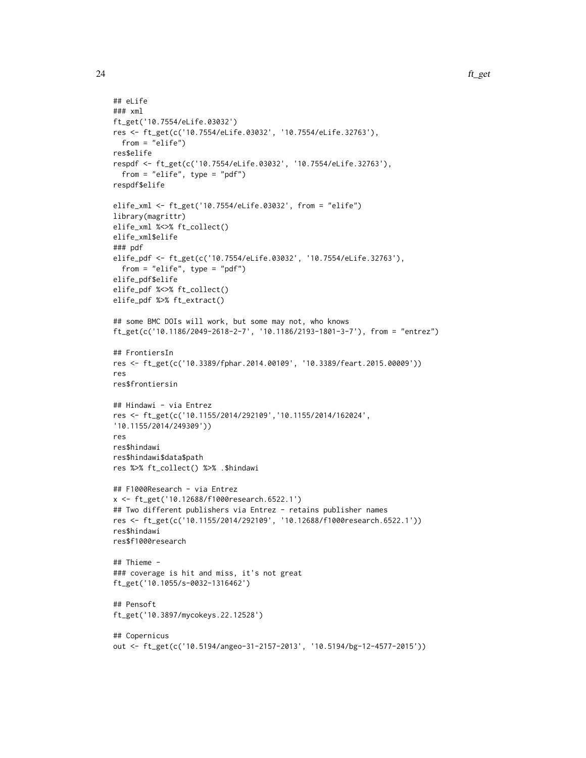```
## eLife
### xml
ft_get('10.7554/eLife.03032')
res <- ft_get(c('10.7554/eLife.03032', '10.7554/eLife.32763'),
  from = "elife")
res$elife
respdf <- ft_get(c('10.7554/eLife.03032', '10.7554/eLife.32763'),
  from = "elife", type = "pdf")
respdf$elife
elife_xml <- ft_get('10.7554/eLife.03032', from = "elife")
library(magrittr)
elife_xml %<>% ft_collect()
elife_xml$elife
### pdf
elife_pdf <- ft_get(c('10.7554/eLife.03032', '10.7554/eLife.32763'),
  from = "elife", type = "pdf")
elife_pdf$elife
elife_pdf %<>% ft_collect()
elife_pdf %>% ft_extract()
## some BMC DOIs will work, but some may not, who knows
ft_get(c('10.1186/2049-2618-2-7', '10.1186/2193-1801-3-7'), from = "entrez")
## FrontiersIn
res <- ft_get(c('10.3389/fphar.2014.00109', '10.3389/feart.2015.00009'))
res
res$frontiersin
## Hindawi - via Entrez
res <- ft_get(c('10.1155/2014/292109','10.1155/2014/162024',
'10.1155/2014/249309'))
res
res$hindawi
res$hindawi$data$path
res %>% ft_collect() %>% .$hindawi
## F1000Research - via Entrez
x <- ft_get('10.12688/f1000research.6522.1')
## Two different publishers via Entrez - retains publisher names
res <- ft_get(c('10.1155/2014/292109', '10.12688/f1000research.6522.1'))
res$hindawi
res$f1000research
## Thieme -
### coverage is hit and miss, it's not great
ft_get('10.1055/s-0032-1316462')
## Pensoft
ft_get('10.3897/mycokeys.22.12528')
## Copernicus
out <- ft_get(c('10.5194/angeo-31-2157-2013', '10.5194/bg-12-4577-2015'))
```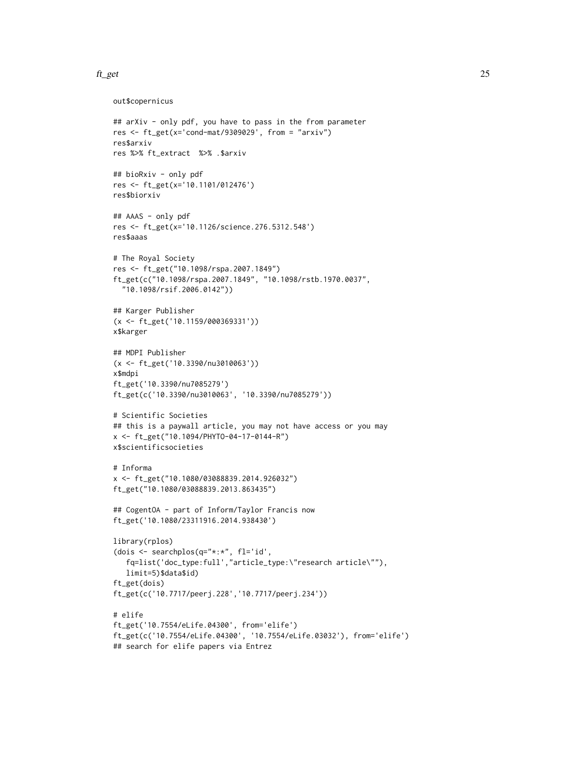```
out$copernicus
## arXiv - only pdf, you have to pass in the from parameter
res <- ft_get(x='cond-mat/9309029', from = "arxiv")
res$arxiv
res %>% ft_extract %>% .$arxiv
## bioRxiv - only pdf
res <- ft_get(x='10.1101/012476')
res$biorxiv
## AAAS - only pdf
res <- ft_get(x='10.1126/science.276.5312.548')
res$aaas
# The Royal Society
res <- ft_get("10.1098/rspa.2007.1849")
ft_get(c("10.1098/rspa.2007.1849", "10.1098/rstb.1970.0037",
  "10.1098/rsif.2006.0142"))
## Karger Publisher
(x <- ft_get('10.1159/000369331'))
x$karger
## MDPI Publisher
(x <- ft_get('10.3390/nu3010063'))
x$mdpi
ft_get('10.3390/nu7085279')
ft_get(c('10.3390/nu3010063', '10.3390/nu7085279'))
# Scientific Societies
## this is a paywall article, you may not have access or you may
x <- ft_get("10.1094/PHYTO-04-17-0144-R")
x$scientificsocieties
# Informa
x <- ft_get("10.1080/03088839.2014.926032")
ft_get("10.1080/03088839.2013.863435")
## CogentOA - part of Inform/Taylor Francis now
ft_get('10.1080/23311916.2014.938430')
library(rplos)
(dois <- searchplos(q="*:*", fl='id',
   fq=list('doc_type:full',"article_type:\"research article\""),
   limit=5)$data$id)
ft_get(dois)
ft_get(c('10.7717/peerj.228','10.7717/peerj.234'))
# elife
ft_get('10.7554/eLife.04300', from='elife')
ft_get(c('10.7554/eLife.04300', '10.7554/eLife.03032'), from='elife')
## search for elife papers via Entrez
```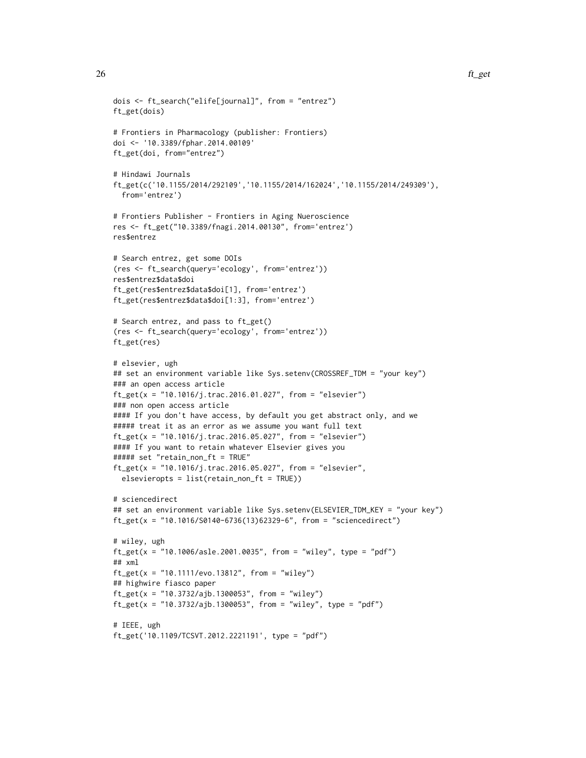```
dois <- ft_search("elife[journal]", from = "entrez")
ft_get(dois)
# Frontiers in Pharmacology (publisher: Frontiers)
doi <- '10.3389/fphar.2014.00109'
ft_get(doi, from="entrez")
# Hindawi Journals
ft_get(c('10.1155/2014/292109','10.1155/2014/162024','10.1155/2014/249309'),
  from='entrez')
# Frontiers Publisher - Frontiers in Aging Nueroscience
res <- ft_get("10.3389/fnagi.2014.00130", from='entrez')
res$entrez
# Search entrez, get some DOIs
(res <- ft_search(query='ecology', from='entrez'))
res$entrez$data$doi
ft_get(res$entrez$data$doi[1], from='entrez')
ft_get(res$entrez$data$doi[1:3], from='entrez')
# Search entrez, and pass to ft_get()
(res <- ft_search(query='ecology', from='entrez'))
ft_get(res)
# elsevier, ugh
## set an environment variable like Sys.setenv(CROSSREF_TDM = "your key")
### an open access article
ft_get(x = "10.1016/j.trac.2016.01.027", from = "elsevier")
### non open access article
#### If you don't have access, by default you get abstract only, and we
##### treat it as an error as we assume you want full text
ft_get(x = "10.1016/j.trac.2016.05.027", from = "elsevier")
#### If you want to retain whatever Elsevier gives you
##### set "retain_non_ft = TRUE"
ft_get(x = "10.1016/j.trac.2016.05.027", from = "elsevier",
  elsevieropts = list(retain_non_ft = TRUE))
# sciencedirect
## set an environment variable like Sys.setenv(ELSEVIER_TDM_KEY = "your key")
ft_get(x = "10.1016/S0140-6736(13)62329-6", from = "sciencedirect")
# wiley, ugh
ft_get(x = "10.1006/asle.2001.0035", from = "wiley", type = "pdf")
## xml
ft_get(x = "10.1111/evo.13812", from = "wiley")
## highwire fiasco paper
ft_get(x = "10.3732/ajb.1300053", from = "wiley")
ft_get(x = "10.3732/ajb.1300053", from = "wiley", type = "pdf")
# IEEE, ugh
ft_get('10.1109/TCSVT.2012.2221191', type = "pdf")
```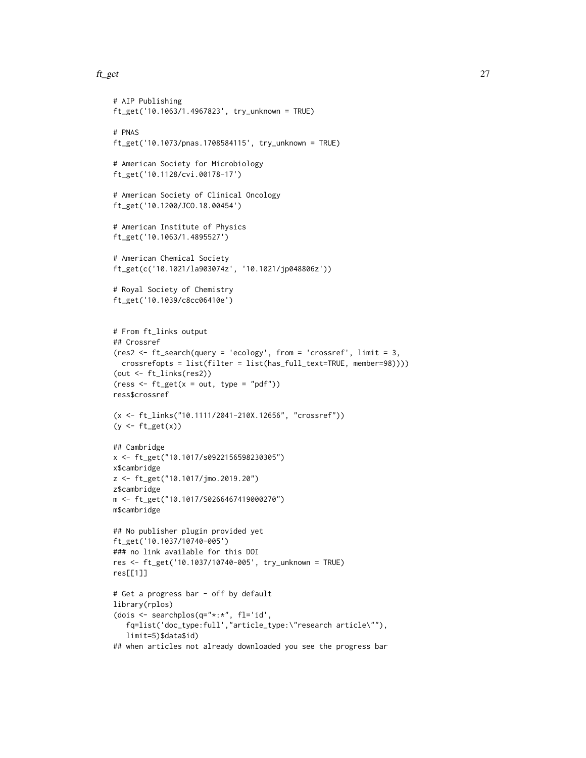```
# AIP Publishing
ft_get('10.1063/1.4967823', try_unknown = TRUE)
# PNAS
ft_get('10.1073/pnas.1708584115', try_unknown = TRUE)
# American Society for Microbiology
ft_get('10.1128/cvi.00178-17')
# American Society of Clinical Oncology
ft_get('10.1200/JCO.18.00454')
# American Institute of Physics
ft_get('10.1063/1.4895527')
# American Chemical Society
ft_get(c('10.1021/la903074z', '10.1021/jp048806z'))
# Royal Society of Chemistry
ft_get('10.1039/c8cc06410e')
# From ft_links output
## Crossref
(res2 <- ft_search(query = 'ecology', from = 'crossref', limit = 3,
  crossrefopts = list(filter = list(has_full_text=TRUE, member=98))))
(out <- ft_links(res2))
(ress < - ft_set(x = out, type = "pdf")ress$crossref
(x <- ft_links("10.1111/2041-210X.12656", "crossref"))
(y \leftarrow ft\_get(x))## Cambridge
x <- ft_get("10.1017/s0922156598230305")
x$cambridge
z <- ft_get("10.1017/jmo.2019.20")
z$cambridge
m <- ft_get("10.1017/S0266467419000270")
m$cambridge
## No publisher plugin provided yet
ft_get('10.1037/10740-005')
### no link available for this DOI
res <- ft_get('10.1037/10740-005', try_unknown = TRUE)
res[[1]]
# Get a progress bar - off by default
library(rplos)
(dois <- searchplos(q="*:*", fl='id',
   fq=list('doc_type:full',"article_type:\"research article\""),
   limit=5)$data$id)
## when articles not already downloaded you see the progress bar
```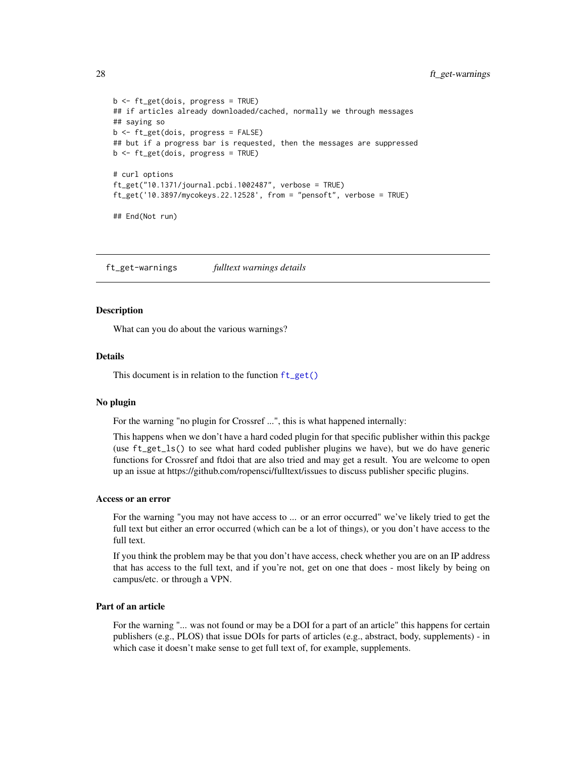```
b <- ft_get(dois, progress = TRUE)
## if articles already downloaded/cached, normally we through messages
## saying so
b <- ft_get(dois, progress = FALSE)
## but if a progress bar is requested, then the messages are suppressed
b <- ft_get(dois, progress = TRUE)
# curl options
ft_get("10.1371/journal.pcbi.1002487", verbose = TRUE)
ft_get('10.3897/mycokeys.22.12528', from = "pensoft", verbose = TRUE)
## End(Not run)
```
<span id="page-27-1"></span>ft\_get-warnings *fulltext warnings details*

#### **Description**

What can you do about the various warnings?

#### Details

This document is in relation to the function [ft\\_get\(\)](#page-18-1)

#### No plugin

For the warning "no plugin for Crossref ...", this is what happened internally:

This happens when we don't have a hard coded plugin for that specific publisher within this packge (use ft\_get\_ls() to see what hard coded publisher plugins we have), but we do have generic functions for Crossref and ftdoi that are also tried and may get a result. You are welcome to open up an issue at https://github.com/ropensci/fulltext/issues to discuss publisher specific plugins.

#### Access or an error

For the warning "you may not have access to ... or an error occurred" we've likely tried to get the full text but either an error occurred (which can be a lot of things), or you don't have access to the full text.

If you think the problem may be that you don't have access, check whether you are on an IP address that has access to the full text, and if you're not, get on one that does - most likely by being on campus/etc. or through a VPN.

#### Part of an article

For the warning "... was not found or may be a DOI for a part of an article" this happens for certain publishers (e.g., PLOS) that issue DOIs for parts of articles (e.g., abstract, body, supplements) - in which case it doesn't make sense to get full text of, for example, supplements.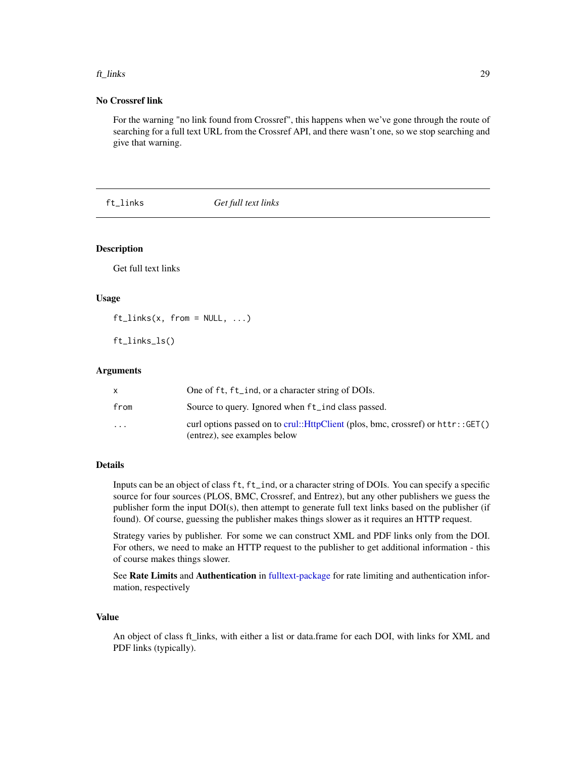#### <span id="page-28-0"></span>ft\_links 29

#### No Crossref link

For the warning "no link found from Crossref", this happens when we've gone through the route of searching for a full text URL from the Crossref API, and there wasn't one, so we stop searching and give that warning.

<span id="page-28-1"></span>ft\_links *Get full text links*

#### Description

Get full text links

#### Usage

 $ft\_links(x, from = NULL, ...)$ 

ft\_links\_ls()

#### Arguments

|                         | One of ft, ft_ind, or a character string of DOIs.  |
|-------------------------|----------------------------------------------------|
| from                    | Source to query. Ignored when ft_ind class passed. |
| $\cdot$ $\cdot$ $\cdot$ | (entrez), see examples below                       |

#### Details

Inputs can be an object of class ft, ft\_ind, or a character string of DOIs. You can specify a specific source for four sources (PLOS, BMC, Crossref, and Entrez), but any other publishers we guess the publisher form the input DOI(s), then attempt to generate full text links based on the publisher (if found). Of course, guessing the publisher makes things slower as it requires an HTTP request.

Strategy varies by publisher. For some we can construct XML and PDF links only from the DOI. For others, we need to make an HTTP request to the publisher to get additional information - this of course makes things slower.

See Rate Limits and Authentication in [fulltext-package](#page-1-1) for rate limiting and authentication information, respectively

#### Value

An object of class ft\_links, with either a list or data.frame for each DOI, with links for XML and PDF links (typically).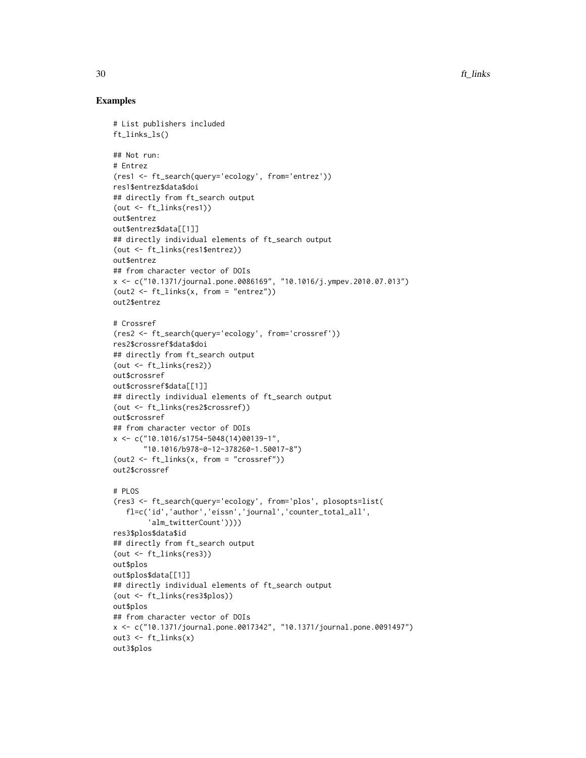#### Examples

```
# List publishers included
ft_links_ls()
## Not run:
# Entrez
(res1 <- ft_search(query='ecology', from='entrez'))
res1$entrez$data$doi
## directly from ft_search output
(out <- ft_links(res1))
out$entrez
out$entrez$data[[1]]
## directly individual elements of ft_search output
(out <- ft_links(res1$entrez))
out$entrez
## from character vector of DOIs
x <- c("10.1371/journal.pone.0086169", "10.1016/j.ympev.2010.07.013")
(out2 < - ft_{\text{links}}(x, from = "entrez"))out2$entrez
# Crossref
(res2 <- ft_search(query='ecology', from='crossref'))
res2$crossref$data$doi
## directly from ft_search output
(out <- ft_links(res2))
out$crossref
out$crossref$data[[1]]
## directly individual elements of ft_search output
(out <- ft_links(res2$crossref))
out$crossref
## from character vector of DOIs
x \leq -c ("10.1016/s1754-5048(14)00139-1",
       "10.1016/b978-0-12-378260-1.50017-8")
(out2 < - ft_{\text{links}}(x, from = "crossref"))out2$crossref
# PLOS
(res3 <- ft_search(query='ecology', from='plos', plosopts=list(
   fl=c('id','author','eissn','journal','counter_total_all',
        'alm_twitterCount'))))
res3$plos$data$id
## directly from ft_search output
(out <- ft_links(res3))
out$plos
out$plos$data[[1]]
## directly individual elements of ft_search output
(out <- ft_links(res3$plos))
out$plos
## from character vector of DOIs
x <- c("10.1371/journal.pone.0017342", "10.1371/journal.pone.0091497")
out3 <- ft_links(x)
out3$plos
```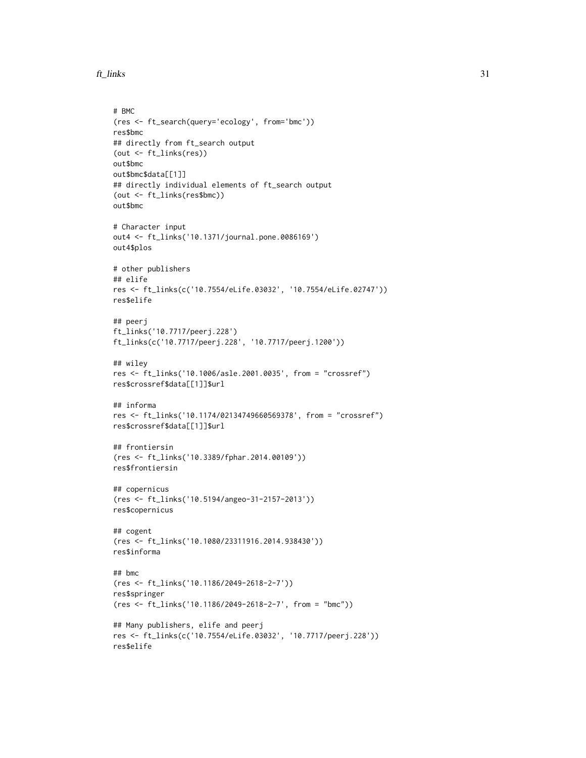```
ft_links 31
```

```
# BMC
(res <- ft_search(query='ecology', from='bmc'))
res$bmc
## directly from ft_search output
(out <- ft_links(res))
out$bmc
out$bmc$data[[1]]
## directly individual elements of ft_search output
(out <- ft_links(res$bmc))
out$bmc
# Character input
out4 <- ft_links('10.1371/journal.pone.0086169')
out4$plos
# other publishers
## elife
res <- ft_links(c('10.7554/eLife.03032', '10.7554/eLife.02747'))
res$elife
## peerj
ft_links('10.7717/peerj.228')
ft_links(c('10.7717/peerj.228', '10.7717/peerj.1200'))
## wiley
res <- ft_links('10.1006/asle.2001.0035', from = "crossref")
res$crossref$data[[1]]$url
## informa
res <- ft_links('10.1174/02134749660569378', from = "crossref")
res$crossref$data[[1]]$url
## frontiersin
(res <- ft_links('10.3389/fphar.2014.00109'))
res$frontiersin
## copernicus
(res <- ft_links('10.5194/angeo-31-2157-2013'))
res$copernicus
## cogent
(res <- ft_links('10.1080/23311916.2014.938430'))
res$informa
## bmc
(res <- ft_links('10.1186/2049-2618-2-7'))
res$springer
(res <- ft_links('10.1186/2049-2618-2-7', from = "bmc"))
## Many publishers, elife and peerj
res <- ft_links(c('10.7554/eLife.03032', '10.7717/peerj.228'))
res$elife
```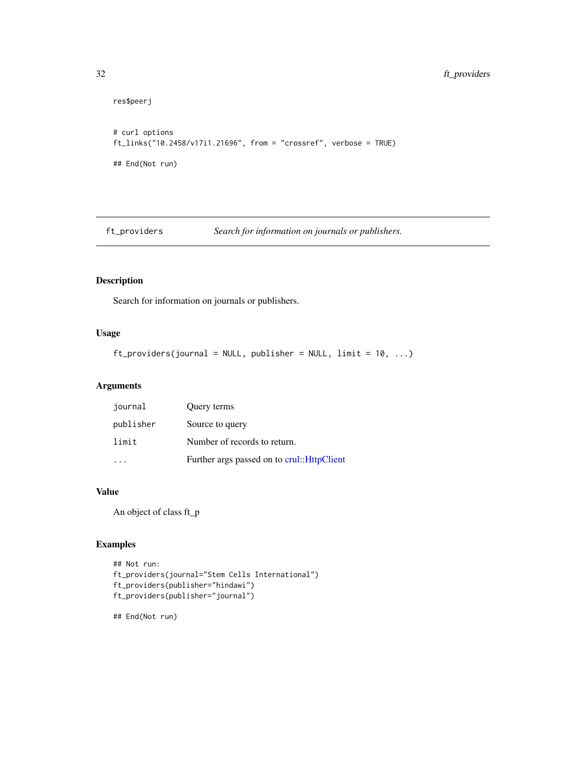```
res$peerj
# curl options
ft_links("10.2458/v17i1.21696", from = "crossref", verbose = TRUE)
## End(Not run)
```
ft\_providers *Search for information on journals or publishers.*

#### Description

Search for information on journals or publishers.

#### Usage

```
ft\_providers(journal = NULL, publisher = NULL, limit = 10, ...)
```
#### Arguments

| journal   | Query terms                                 |
|-----------|---------------------------------------------|
| publisher | Source to query                             |
| limit     | Number of records to return.                |
|           | Further args passed on to crul:: HttpClient |

#### Value

An object of class ft\_p

#### Examples

```
## Not run:
ft_providers(journal="Stem Cells International")
ft_providers(publisher="hindawi")
ft_providers(publisher="journal")
```
## End(Not run)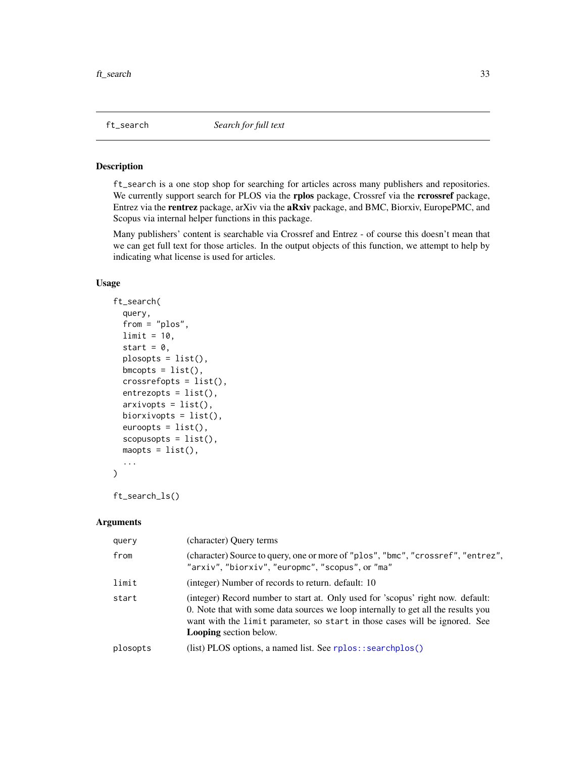<span id="page-32-1"></span><span id="page-32-0"></span>

#### Description

ft\_search is a one stop shop for searching for articles across many publishers and repositories. We currently support search for PLOS via the rplos package, Crossref via the rcrossref package, Entrez via the rentrez package, arXiv via the aRxiv package, and BMC, Biorxiv, EuropePMC, and Scopus via internal helper functions in this package.

Many publishers' content is searchable via Crossref and Entrez - of course this doesn't mean that we can get full text for those articles. In the output objects of this function, we attempt to help by indicating what license is used for articles.

#### Usage

```
ft_search(
  query,
  from = "plos",
  limit = 10,start = 0,
  plosopts = list(),
  bmcopts = list(),
  crossrefopts = list(),
  entrezopts = list(),arxivopts = list(),
  biorxivopts = list(),
  \text{euroopts} = \text{list}(),scopusopts = list(),
  mapts = list(),...
\mathcal{E}
```
ft\_search\_ls()

#### Arguments

| query    | (character) Query terms                                                                                                                                                                                                                                                              |
|----------|--------------------------------------------------------------------------------------------------------------------------------------------------------------------------------------------------------------------------------------------------------------------------------------|
| from     | (character) Source to query, one or more of "plos", "bmc", "crossref", "entrez",<br>"arxiv", "biorxiv", "europmc", "scopus", or "ma"                                                                                                                                                 |
| limit    | (integer) Number of records to return, default: 10                                                                                                                                                                                                                                   |
| start    | (integer) Record number to start at. Only used for 'scopus' right now. default:<br>0. Note that with some data sources we loop internally to get all the results you<br>want with the limit parameter, so start in those cases will be ignored. See<br><b>Looping</b> section below. |
| plosopts | (list) PLOS options, a named list. See rplos::searchplos()                                                                                                                                                                                                                           |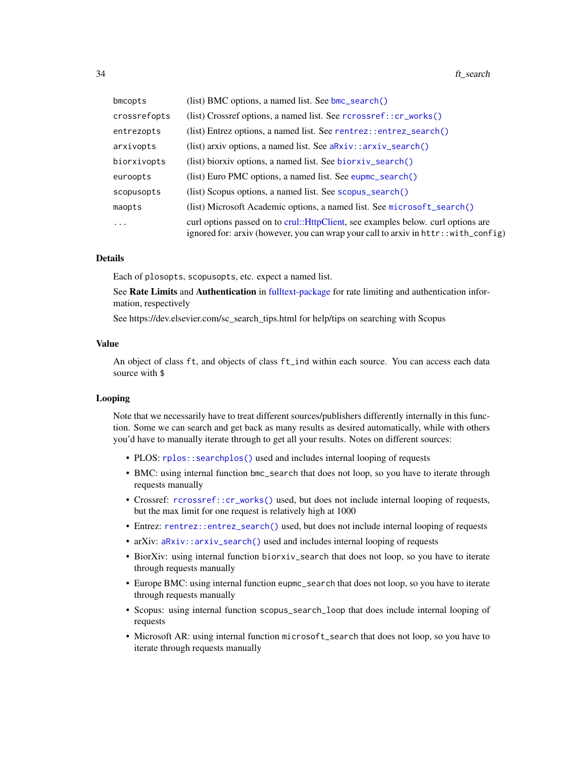<span id="page-33-0"></span>

| bmcopts      | (list) BMC options, a named list. See bmc_search()                                                                                                                      |
|--------------|-------------------------------------------------------------------------------------------------------------------------------------------------------------------------|
| crossrefopts | (list) Crossref options, a named list. See rcrossref::cr_works()                                                                                                        |
| entrezopts   | (list) Entrez options, a named list. See rentrez::entrez_search()                                                                                                       |
| arxivopts    | (list) arxiv options, a named list. See $aRxiv$ : : $arxiv$ search()                                                                                                    |
| biorxivopts  | (list) biorxiv options, a named list. See $\frac{b}{c}$ search()                                                                                                        |
| euroopts     | (list) Euro PMC options, a named list. See eupmc_search()                                                                                                               |
| scopusopts   | (list) Scopus options, a named list. See scopus_search()                                                                                                                |
| maopts       | (list) Microsoft Academic options, a named list. See microsoft_search()                                                                                                 |
| $\cdots$     | curl options passed on to crul::HttpClient, see examples below. curl options are<br>ignored for: arxiv (however, you can wrap your call to arxiv in httr:: with_config) |

#### Details

Each of plosopts, scopusopts, etc. expect a named list.

See Rate Limits and Authentication in [fulltext-package](#page-1-1) for rate limiting and authentication information, respectively

See https://dev.elsevier.com/sc\_search\_tips.html for help/tips on searching with Scopus

#### Value

An object of class ft, and objects of class ft\_ind within each source. You can access each data source with \$

#### Looping

Note that we necessarily have to treat different sources/publishers differently internally in this function. Some we can search and get back as many results as desired automatically, while with others you'd have to manually iterate through to get all your results. Notes on different sources:

- PLOS: [rplos::searchplos\(\)](#page-0-0) used and includes internal looping of requests
- BMC: using internal function bmc\_search that does not loop, so you have to iterate through requests manually
- Crossref: [rcrossref::cr\\_works\(\)](#page-0-0) used, but does not include internal looping of requests, but the max limit for one request is relatively high at 1000
- Entrez: [rentrez::entrez\\_search\(\)](#page-0-0) used, but does not include internal looping of requests
- arXiv: [aRxiv::arxiv\\_search\(\)](#page-0-0) used and includes internal looping of requests
- BiorXiv: using internal function biorxiv\_search that does not loop, so you have to iterate through requests manually
- Europe BMC: using internal function eupmc\_search that does not loop, so you have to iterate through requests manually
- Scopus: using internal function scopus\_search\_loop that does include internal looping of requests
- Microsoft AR: using internal function microsoft\_search that does not loop, so you have to iterate through requests manually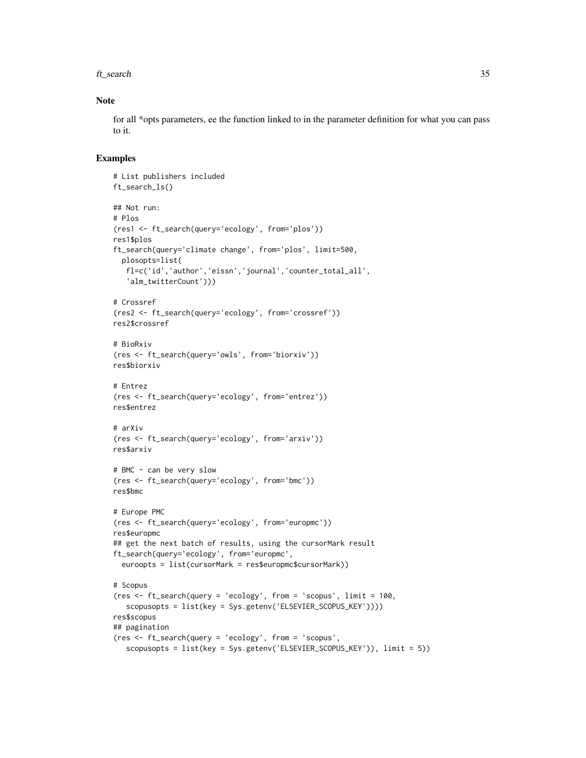#### ft\_search 35

#### Note

for all \*opts parameters, ee the function linked to in the parameter definition for what you can pass to it.

#### Examples

```
# List publishers included
ft_search_ls()
## Not run:
# Plos
(res1 <- ft_search(query='ecology', from='plos'))
res1$plos
ft_search(query='climate change', from='plos', limit=500,
 plosopts=list(
  fl=c('id','author','eissn','journal','counter_total_all',
   'alm_twitterCount')))
# Crossref
(res2 <- ft_search(query='ecology', from='crossref'))
res2$crossref
# BioRxiv
(res <- ft_search(query='owls', from='biorxiv'))
res$biorxiv
# Entrez
(res <- ft_search(query='ecology', from='entrez'))
res$entrez
# arXiv
(res <- ft_search(query='ecology', from='arxiv'))
res$arxiv
# BMC - can be very slow
(res <- ft_search(query='ecology', from='bmc'))
res$bmc
# Europe PMC
(res <- ft_search(query='ecology', from='europmc'))
res$europmc
## get the next batch of results, using the cursorMark result
ft_search(query='ecology', from='europmc',
  euroopts = list(cursorMark = res$europmc$cursorMark))
# Scopus
(res <- ft_search(query = 'ecology', from = 'scopus', limit = 100,
   scopusopts = list(key = Sys.getenv('ELSEVIER_SCOPUS_KEY'))))
res$scopus
## pagination
(res <- ft_search(query = 'ecology', from = 'scopus',
   scopusopts = list(key = Sys.getenv('ELSEVIER_SCOPUS_KEY')), limit = 5))
```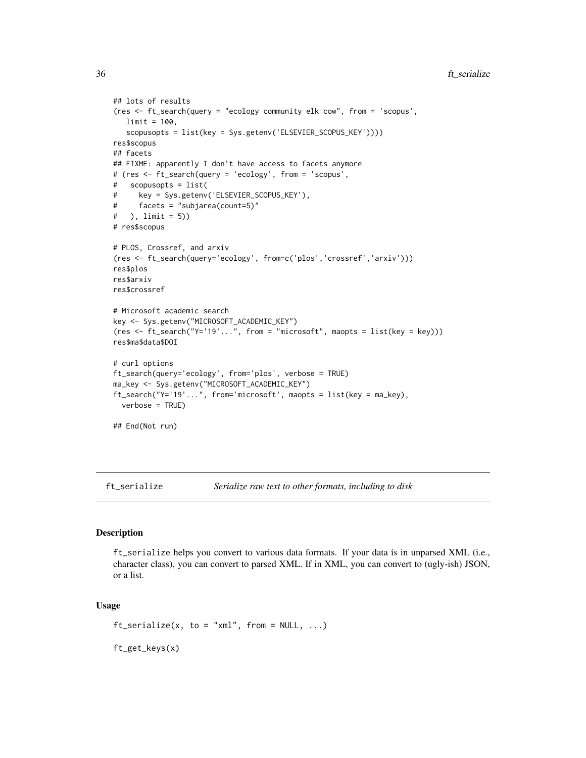```
## lots of results
(res <- ft_search(query = "ecology community elk cow", from = 'scopus',
  limit = 100,
   scopusopts = list(key = Sys.getenv('ELSEVIER_SCOPUS_KEY'))))
res$scopus
## facets
## FIXME: apparently I don't have access to facets anymore
# (res <- ft_search(query = 'ecology', from = 'scopus',
# scopusopts = list(
# key = Sys.getenv('ELSEVIER_SCOPUS_KEY'),
# facets = "subjarea(count=5)"
# ), limit = 5))
# res$scopus
# PLOS, Crossref, and arxiv
(res <- ft_search(query='ecology', from=c('plos','crossref','arxiv')))
res$plos
res$arxiv
res$crossref
# Microsoft academic search
key <- Sys.getenv("MICROSOFT_ACADEMIC_KEY")
(res <- ft_search("Y='19'...", from = "microsoft", maopts = list(key = key)))
res$ma$data$DOI
# curl options
ft_search(query='ecology', from='plos', verbose = TRUE)
ma_key <- Sys.getenv("MICROSOFT_ACADEMIC_KEY")
ft_search("Y='19'...", from='microsoft', maopts = list(key = ma_key),
  verbose = TRUE)
## End(Not run)
```
<span id="page-35-1"></span>ft\_serialize *Serialize raw text to other formats, including to disk*

#### Description

ft\_serialize helps you convert to various data formats. If your data is in unparsed XML (i.e., character class), you can convert to parsed XML. If in XML, you can convert to (ugly-ish) JSON, or a list.

#### Usage

ft\_get\_keys(x)

```
ft\_serialize(x, to = "xml", from = NULL, ...)
```
<span id="page-35-0"></span>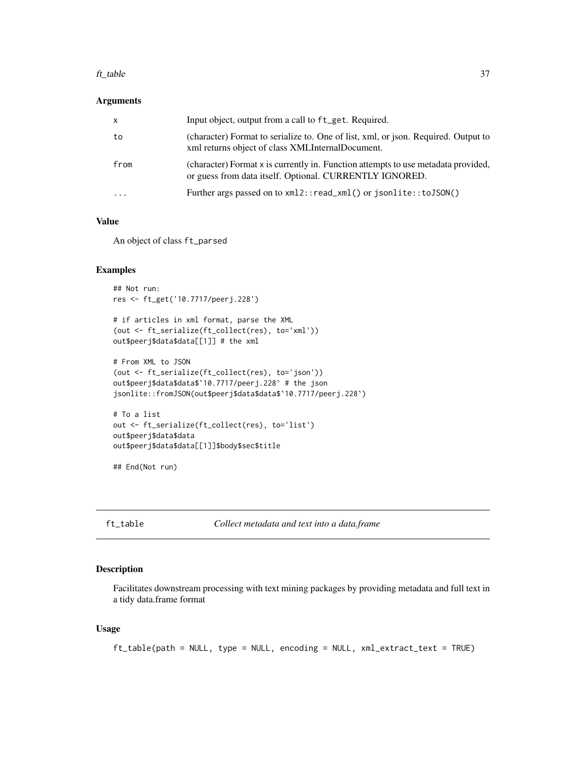#### <span id="page-36-0"></span>ft\_table 37

#### Arguments

| $\mathsf{x}$            | Input object, output from a call to ft_get. Required.                                                                                        |
|-------------------------|----------------------------------------------------------------------------------------------------------------------------------------------|
| to                      | (character) Format to serialize to. One of list, xml, or json. Required. Output to<br>xml returns object of class XMLInternalDocument.       |
| from                    | (character) Format x is currently in. Function attempts to use metadata provided,<br>or guess from data itself. Optional. CURRENTLY IGNORED. |
| $\cdot$ $\cdot$ $\cdot$ | Further args passed on to xml2::read_xml() or jsonlite::toJSON()                                                                             |

#### Value

An object of class ft\_parsed

#### Examples

```
## Not run:
res <- ft_get('10.7717/peerj.228')
# if articles in xml format, parse the XML
(out <- ft_serialize(ft_collect(res), to='xml'))
out$peerj$data$data[[1]] # the xml
# From XML to JSON
(out <- ft_serialize(ft_collect(res), to='json'))
out$peerj$data$data$`10.7717/peerj.228` # the json
jsonlite::fromJSON(out$peerj$data$data$`10.7717/peerj.228`)
# To a list
out <- ft_serialize(ft_collect(res), to='list')
out$peerj$data$data
```

```
out$peerj$data$data[[1]]$body$sec$title
```
## End(Not run)

ft\_table *Collect metadata and text into a data.frame*

#### Description

Facilitates downstream processing with text mining packages by providing metadata and full text in a tidy data.frame format

#### Usage

```
ft_table(path = NULL, type = NULL, encoding = NULL, xml_extract_text = TRUE)
```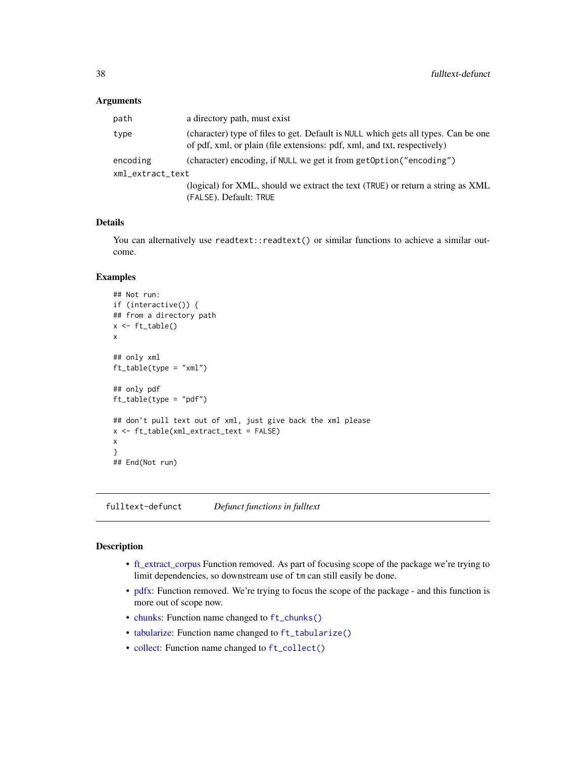#### <span id="page-37-0"></span>**Arguments**

| path             | a directory path, must exist                                                                                                                                   |  |
|------------------|----------------------------------------------------------------------------------------------------------------------------------------------------------------|--|
| type             | (character) type of files to get. Default is NULL which gets all types. Can be one<br>of pdf, xml, or plain (file extensions: pdf, xml, and txt, respectively) |  |
| encoding         | (character) encoding, if NULL we get it from getOption("encoding")                                                                                             |  |
| xml_extract_text |                                                                                                                                                                |  |
|                  | (logical) for XML, should we extract the text (TRUE) or return a string as XML<br>(FALSE). Default: TRUE                                                       |  |

#### Details

You can alternatively use readtext::readtext() or similar functions to achieve a similar outcome.

#### Examples

```
## Not run:
if (interactive()) {
## from a directory path
x < -ft_table()x
## only xml
ft_table(type = "xml")
## only pdf
ft_table(type = "pdf")
## don't pull text out of xml, just give back the xml please
x <- ft_table(xml_extract_text = FALSE)
x
}
## End(Not run)
```
fulltext-defunct *Defunct functions in fulltext*

#### Description

- [ft\\_extract\\_corpus](#page-0-0) Function removed. As part of focusing scope of the package we're trying to limit dependencies, so downstream use of tm can still easily be done.
- [pdfx:](#page-0-0) Function removed. We're trying to focus the scope of the package and this function is more out of scope now.
- [chunks:](#page-0-0) Function name changed to [ft\\_chunks\(\)](#page-0-0)
- [tabularize:](#page-0-0) Function name changed to [ft\\_tabularize\(\)](#page-0-0)
- [collect:](#page-0-0) Function name changed to [ft\\_collect\(\)](#page-16-1)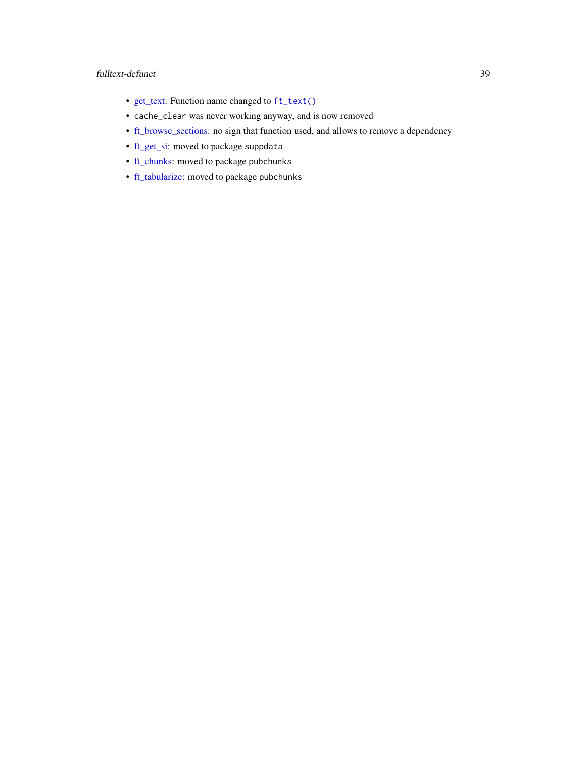#### <span id="page-38-0"></span>fulltext-defunct 39

- [get\\_text:](#page-0-0) Function name changed to [ft\\_text\(\)](#page-16-2)
- cache\_clear was never working anyway, and is now removed
- [ft\\_browse\\_sections:](#page-0-0) no sign that function used, and allows to remove a dependency
- [ft\\_get\\_si:](#page-0-0) moved to package suppdata
- [ft\\_chunks:](#page-0-0) moved to package pubchunks
- [ft\\_tabularize:](#page-0-0) moved to package pubchunks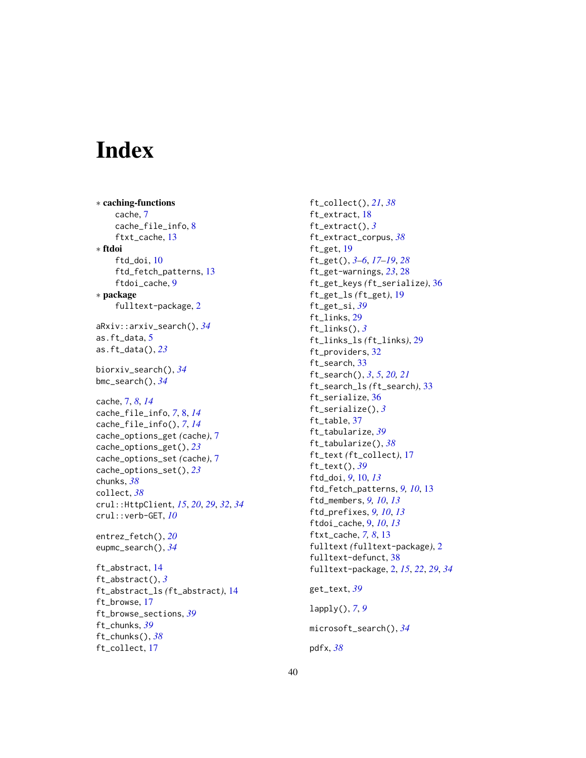# <span id="page-39-0"></span>Index

∗ caching-functions cache, [7](#page-6-0) cache\_file\_info, [8](#page-7-0) ftxt\_cache, [13](#page-12-0) ∗ ftdoi ftd\_doi, [10](#page-9-0) ftd\_fetch\_patterns, [13](#page-12-0) ftdoi\_cache, [9](#page-8-0) ∗ package fulltext-package, [2](#page-1-0) aRxiv::arxiv\_search(), *[34](#page-33-0)* as.ft\_data, [5](#page-4-0) as.ft\_data(), *[23](#page-22-0)* biorxiv\_search(), *[34](#page-33-0)* bmc\_search(), *[34](#page-33-0)* cache, [7,](#page-6-0) *[8](#page-7-0)*, *[14](#page-13-0)* cache\_file\_info, *[7](#page-6-0)*, [8,](#page-7-0) *[14](#page-13-0)* cache\_file\_info(), *[7](#page-6-0)*, *[14](#page-13-0)* cache\_options\_get *(*cache*)*, [7](#page-6-0) cache\_options\_get(), *[23](#page-22-0)* cache\_options\_set *(*cache*)*, [7](#page-6-0) cache\_options\_set(), *[23](#page-22-0)* chunks, *[38](#page-37-0)* collect, *[38](#page-37-0)* crul::HttpClient, *[15](#page-14-0)*, *[20](#page-19-0)*, *[29](#page-28-0)*, *[32](#page-31-0)*, *[34](#page-33-0)* crul::verb-GET, *[10](#page-9-0)* entrez\_fetch(), *[20](#page-19-0)* eupmc\_search(), *[34](#page-33-0)* ft\_abstract, [14](#page-13-0) ft\_abstract(), *[3](#page-2-0)* ft\_abstract\_ls *(*ft\_abstract*)*, [14](#page-13-0) ft\_browse, [17](#page-16-0) ft\_browse\_sections, *[39](#page-38-0)* ft\_chunks, *[39](#page-38-0)* ft\_chunks(), *[38](#page-37-0)* ft\_collect, [17](#page-16-0)

ft\_collect(), *[21](#page-20-0)*, *[38](#page-37-0)* ft\_extract, [18](#page-17-0) ft\_extract(), *[3](#page-2-0)* ft\_extract\_corpus, *[38](#page-37-0)* ft\_get, [19](#page-18-0) ft\_get(), *[3](#page-2-0)[–6](#page-5-0)*, *[17](#page-16-0)[–19](#page-18-0)*, *[28](#page-27-0)* ft\_get-warnings, *[23](#page-22-0)*, [28](#page-27-0) ft\_get\_keys *(*ft\_serialize*)*, [36](#page-35-0) ft\_get\_ls *(*ft\_get*)*, [19](#page-18-0) ft\_get\_si, *[39](#page-38-0)* ft\_links, [29](#page-28-0) ft\_links(), *[3](#page-2-0)* ft\_links\_ls *(*ft\_links*)*, [29](#page-28-0) ft\_providers, [32](#page-31-0) ft\_search, [33](#page-32-0) ft\_search(), *[3](#page-2-0)*, *[5](#page-4-0)*, *[20,](#page-19-0) [21](#page-20-0)* ft\_search\_ls *(*ft\_search*)*, [33](#page-32-0) ft\_serialize, [36](#page-35-0) ft\_serialize(), *[3](#page-2-0)* ft\_table, [37](#page-36-0) ft\_tabularize, *[39](#page-38-0)* ft\_tabularize(), *[38](#page-37-0)* ft\_text *(*ft\_collect*)*, [17](#page-16-0) ft\_text(), *[39](#page-38-0)* ftd\_doi, *[9](#page-8-0)*, [10,](#page-9-0) *[13](#page-12-0)* ftd\_fetch\_patterns, *[9,](#page-8-0) [10](#page-9-0)*, [13](#page-12-0) ftd\_members, *[9,](#page-8-0) [10](#page-9-0)*, *[13](#page-12-0)* ftd\_prefixes, *[9,](#page-8-0) [10](#page-9-0)*, *[13](#page-12-0)* ftdoi\_cache, [9,](#page-8-0) *[10](#page-9-0)*, *[13](#page-12-0)* ftxt\_cache, *[7,](#page-6-0) [8](#page-7-0)*, [13](#page-12-0) fulltext *(*fulltext-package*)*, [2](#page-1-0) fulltext-defunct, [38](#page-37-0) fulltext-package, [2,](#page-1-0) *[15](#page-14-0)*, *[22](#page-21-0)*, *[29](#page-28-0)*, *[34](#page-33-0)* get\_text, *[39](#page-38-0)* lapply(), *[7](#page-6-0)*, *[9](#page-8-0)* microsoft\_search(), *[34](#page-33-0)* pdfx, *[38](#page-37-0)*